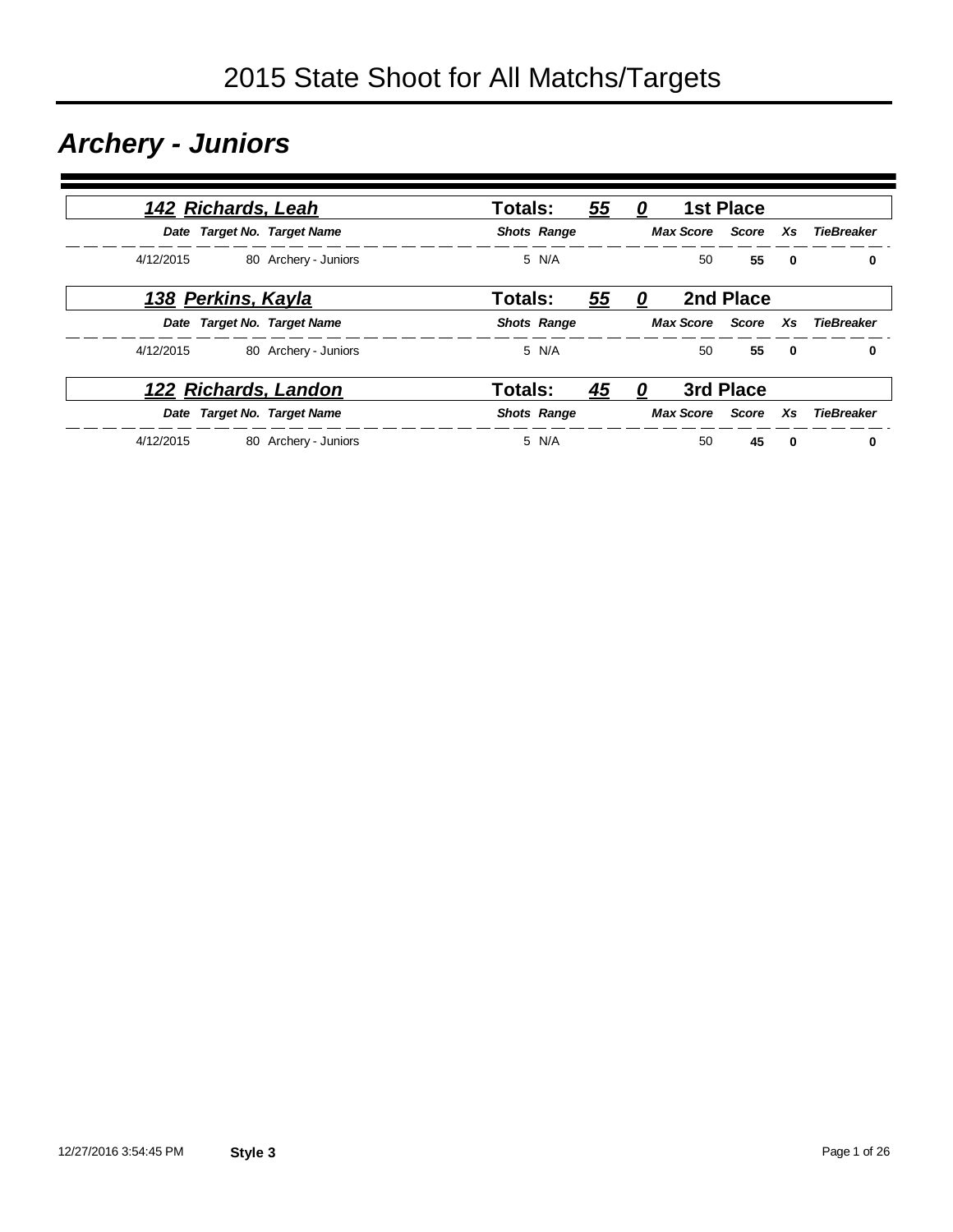### *Archery - Juniors*

|           | 142 Richards, Leah        |                             | <b>Totals:</b>     |       | 55 | 0 |    | <b>1st Place</b>   |              |                               |
|-----------|---------------------------|-----------------------------|--------------------|-------|----|---|----|--------------------|--------------|-------------------------------|
|           |                           | Date Target No. Target Name | <b>Shots Range</b> |       |    |   |    |                    |              | Max Score Score Xs TieBreaker |
| 4/12/2015 |                           | 80 Archery - Juniors        |                    | 5 N/A |    |   | 50 | 55                 | $\mathbf{0}$ | 0                             |
|           | <u>138 Perkins, Kayla</u> |                             | <b>Totals:</b>     |       | 55 | 0 |    | 2nd Place          |              |                               |
|           |                           | Date Target No. Target Name | <b>Shots Range</b> |       |    |   |    |                    |              | Max Score Score Xs TieBreaker |
| 4/12/2015 |                           | 80 Archery - Juniors        |                    | 5 N/A |    |   | 50 | 55                 | $\mathbf{0}$ | 0                             |
|           |                           | <u>122 Richards, Landon</u> | <b>Totals:</b>     |       | 45 | 0 |    | 3rd Place          |              |                               |
|           |                           | Date Target No. Target Name | <b>Shots Range</b> |       |    |   |    | Max Score Score Xs |              | TieBreaker                    |
| 4/12/2015 |                           | 80 Archery - Juniors        |                    | 5 N/A |    |   | 50 | 45                 | $\mathbf{0}$ | 0                             |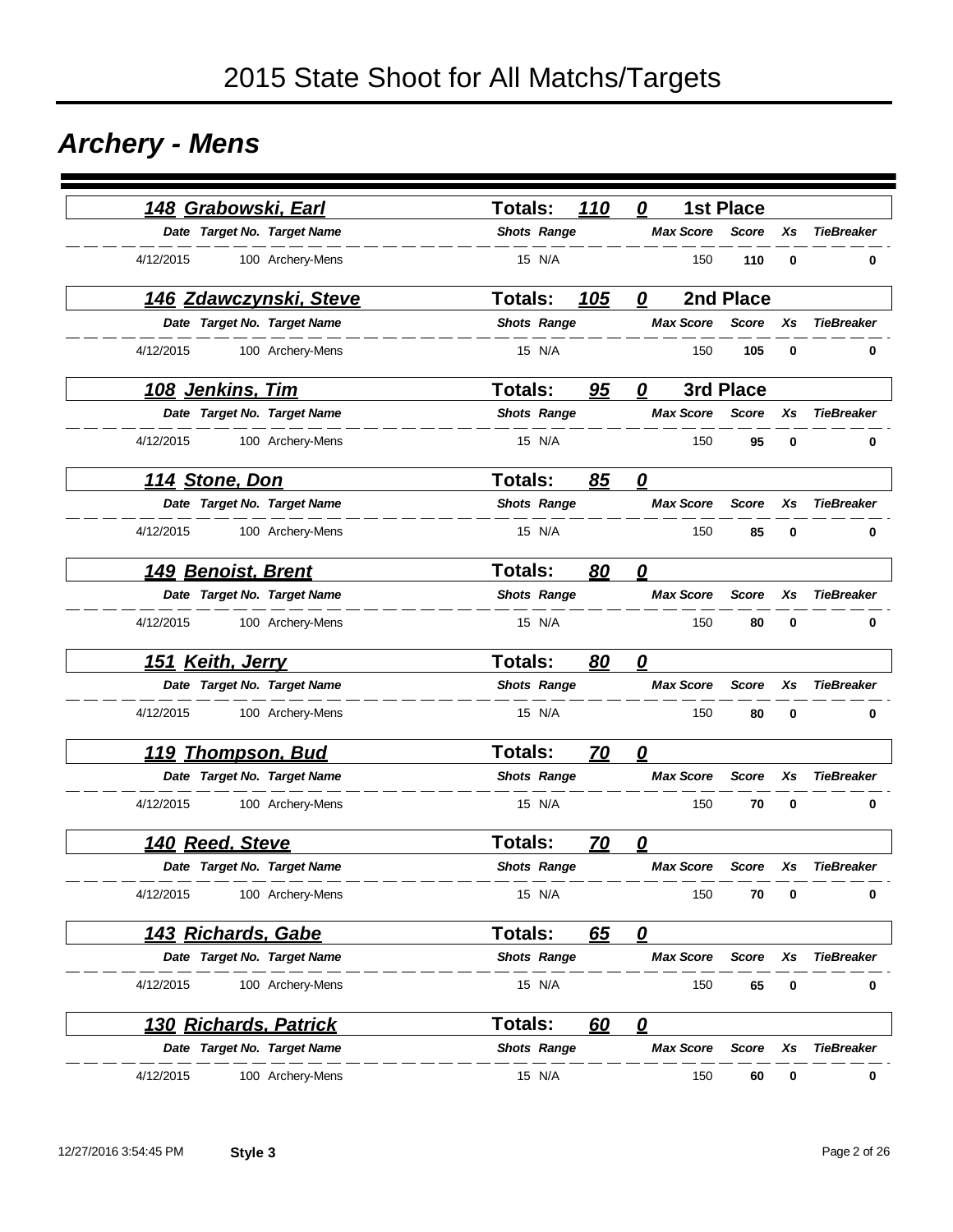### *Archery - Mens*

| 148 Grabowski, Earl           | 110<br><b>Totals:</b>       | <b>1st Place</b><br>0                                       |
|-------------------------------|-----------------------------|-------------------------------------------------------------|
| Date Target No. Target Name   | <b>Shots Range</b>          | <b>Max Score</b><br><b>TieBreaker</b><br><b>Score</b><br>Хs |
| 4/12/2015<br>100 Archery-Mens | 15 N/A                      | 150<br>110<br>0<br>0                                        |
| <u>146 Zdawczynski, Steve</u> | <b>Totals:</b><br>105       | 2nd Place<br>0                                              |
| Date Target No. Target Name   | <b>Shots Range</b>          | <b>Max Score</b><br><b>TieBreaker</b><br><b>Score</b><br>Xs |
| 4/12/2015<br>100 Archery-Mens | 15 N/A                      | 150<br>105<br>0<br>0                                        |
| <u>108 Jenkins, Tim</u>       | <b>Totals:</b><br>95        | 3rd Place<br>0                                              |
| Date Target No. Target Name   | <b>Shots Range</b>          | <b>TieBreaker</b><br><b>Max Score</b><br><b>Score</b><br>Xs |
| 4/12/2015<br>100 Archery-Mens | 15 N/A                      | 150<br>95<br>$\bf{0}$<br>0                                  |
| <u>114 Stone, Don</u>         | <b>Totals:</b><br>85        | $\mathbf{\Omega}$                                           |
| Date Target No. Target Name   | <b>Shots Range</b>          | <b>Max Score</b><br><b>TieBreaker</b><br><b>Score</b><br>Xs |
| 4/12/2015<br>100 Archery-Mens | 15 N/A                      | 150<br>85<br>0<br>0                                         |
| 149 Benoist, Brent            | <b>Totals:</b><br><u>80</u> | 0                                                           |
| Date Target No. Target Name   | <b>Shots Range</b>          | <b>TieBreaker</b><br><b>Max Score</b><br><b>Score</b><br>Xs |
| 4/12/2015<br>100 Archery-Mens | 15 N/A                      | 150<br>80<br>0<br>0                                         |
| 151 Keith, Jerry              | <b>Totals:</b><br>80        | 0                                                           |
| Date Target No. Target Name   | <b>Shots Range</b>          | <b>Max Score</b><br><b>Score</b><br><b>TieBreaker</b><br>Xs |
| 4/12/2015<br>100 Archery-Mens | 15 N/A                      | 150<br>80<br>0<br>0                                         |
| <u> 119 Thompson, Bud</u>     | <b>Totals:</b><br><u>70</u> | 0                                                           |
| Date Target No. Target Name   | <b>Shots Range</b>          | <b>Max Score</b><br><b>Score</b><br><b>TieBreaker</b><br>Xs |
| 4/12/2015<br>100 Archery-Mens | 15 N/A                      | 0<br>150<br>70<br>0                                         |
| 140 Reed, Steve               | <b>Totals:</b><br><u>70</u> | 0                                                           |
| Date Target No. Target Name   | <b>Shots Range</b>          | <b>Max Score</b><br><b>TieBreaker</b><br><b>Score</b><br>Xs |
| 4/12/2015<br>100 Archery-Mens | 15 N/A                      | 150<br>70<br>$\bf{0}$<br>0                                  |
| <u> 143 Richards, Gabe</u>    | Totals:<br>65               | $\overline{\mathbf{0}}$                                     |
| Date Target No. Target Name   | <b>Shots Range</b>          | <b>TieBreaker</b><br><b>Max Score</b><br><b>Score</b><br>Xs |
| 4/12/2015<br>100 Archery-Mens | 15 N/A                      | 65<br>150<br>0<br>0                                         |
| <b>130 Richards, Patrick</b>  | <b>Totals:</b><br>60        | $\overline{\mathbf{0}}$                                     |
| Date Target No. Target Name   | <b>Shots Range</b>          | <b>Max Score</b><br><b>TieBreaker</b><br><b>Score</b><br>Xs |
| 4/12/2015<br>100 Archery-Mens | 15 N/A                      | 150<br>60<br>0<br>0                                         |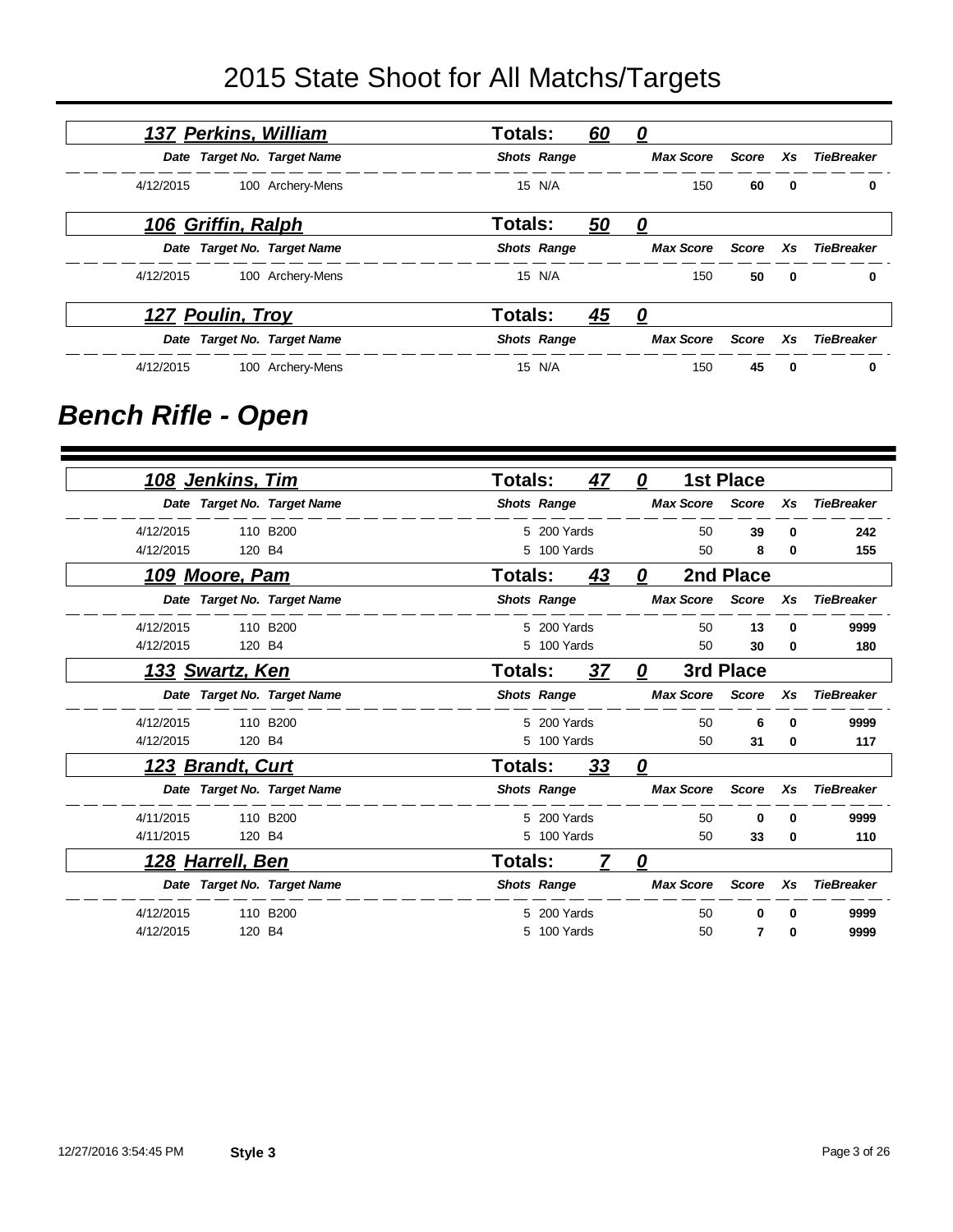|           | 137 Perkins, William    |                             | <b>Totals:</b> |                    | <u>60</u> | <u>0</u>           |          |                         |                   |
|-----------|-------------------------|-----------------------------|----------------|--------------------|-----------|--------------------|----------|-------------------------|-------------------|
|           |                         | Date Target No. Target Name |                | <b>Shots Range</b> |           | <b>Max Score</b>   | Score    | Xs                      | <b>TieBreaker</b> |
| 4/12/2015 |                         | 100 Archery-Mens            |                | 15 N/A             |           | 150                | 60       | 0                       | 0                 |
|           | 106 Griffin, Ralph      |                             | Totals:        |                    | <u>50</u> | $\mathbf{\Omega}$  |          |                         |                   |
|           |                         | Date Target No. Target Name |                | <b>Shots Range</b> |           | Max Score Score Xs |          |                         | TieBreaker        |
| 4/12/2015 |                         | 100 Archery-Mens            |                | 15 N/A             |           | 150                | 50       | $\overline{\mathbf{0}}$ | 0                 |
|           | <u>127 Poulin, Troy</u> |                             | <b>Totals:</b> |                    | <u>45</u> | <u>0</u>           |          |                         |                   |
|           |                         | Date Target No. Target Name |                | <b>Shots Range</b> |           | <b>Max Score</b>   | Score Xs |                         | <b>TieBreaker</b> |
| 4/12/2015 |                         | 100 Archery-Mens            |                | 15 N/A             |           | 150                | 45       | $\mathbf{0}$            | 0                 |

### *Bench Rifle - Open*

| <u>108 Jenkins, Tim</u>     |          | <b>Totals:</b> |                    | 47        | 0 |                  | <b>1st Place</b> |    |                   |
|-----------------------------|----------|----------------|--------------------|-----------|---|------------------|------------------|----|-------------------|
| Date Target No. Target Name |          |                | <b>Shots Range</b> |           |   | <b>Max Score</b> | <b>Score</b>     | Xs | <b>TieBreaker</b> |
| 4/12/2015                   | 110 B200 |                | 5 200 Yards        |           |   | 50               | 39               | 0  | 242               |
| 4/12/2015<br>120 B4         |          |                | 5 100 Yards        |           |   | 50               | 8                | 0  | 155               |
| 109 Moore, Pam              |          | <b>Totals:</b> |                    | 43        | 0 |                  | 2nd Place        |    |                   |
| Date Target No. Target Name |          |                | <b>Shots Range</b> |           |   | <b>Max Score</b> | Score            | Xs | <b>TieBreaker</b> |
| 4/12/2015                   | 110 B200 |                | 5 200 Yards        |           |   | 50               | 13               | 0  | 9999              |
| 4/12/2015<br>120 B4         |          |                | 5 100 Yards        |           |   | 50               | 30               | 0  | 180               |
| <u>133 Swartz, Ken</u>      |          | Totals:        |                    | 37        | 0 |                  | 3rd Place        |    |                   |
| Date Target No. Target Name |          |                | <b>Shots Range</b> |           |   | <b>Max Score</b> | Score            | Xs | <b>TieBreaker</b> |
| 4/12/2015                   | 110 B200 |                | 5 200 Yards        |           |   | 50               | 6                | 0  | 9999              |
| 4/12/2015<br>120 B4         |          |                | 5 100 Yards        |           |   | 50               | 31               | 0  | 117               |
| 123 Brandt, Curt            |          | <b>Totals:</b> |                    | <u>33</u> | 0 |                  |                  |    |                   |
| Date Target No. Target Name |          |                | <b>Shots Range</b> |           |   | <b>Max Score</b> | <b>Score</b>     | Xs | <b>TieBreaker</b> |
| 4/11/2015                   | 110 B200 |                | 5 200 Yards        |           |   | 50               | $\Omega$         | 0  | 9999              |
| 4/11/2015<br>120 B4         |          |                | 5 100 Yards        |           |   | 50               | 33               | 0  | 110               |
| <u>128 Harrell, Ben</u>     |          | <b>Totals:</b> |                    | 7         | 0 |                  |                  |    |                   |
| Date Target No. Target Name |          |                | <b>Shots Range</b> |           |   | <b>Max Score</b> | <b>Score</b>     | Xs | <b>TieBreaker</b> |
| 4/12/2015                   | 110 B200 |                | 5 200 Yards        |           |   | 50               | 0                | 0  | 9999              |
| 4/12/2015<br>120 B4         |          |                | 5 100 Yards        |           |   | 50               | 7                | 0  | 9999              |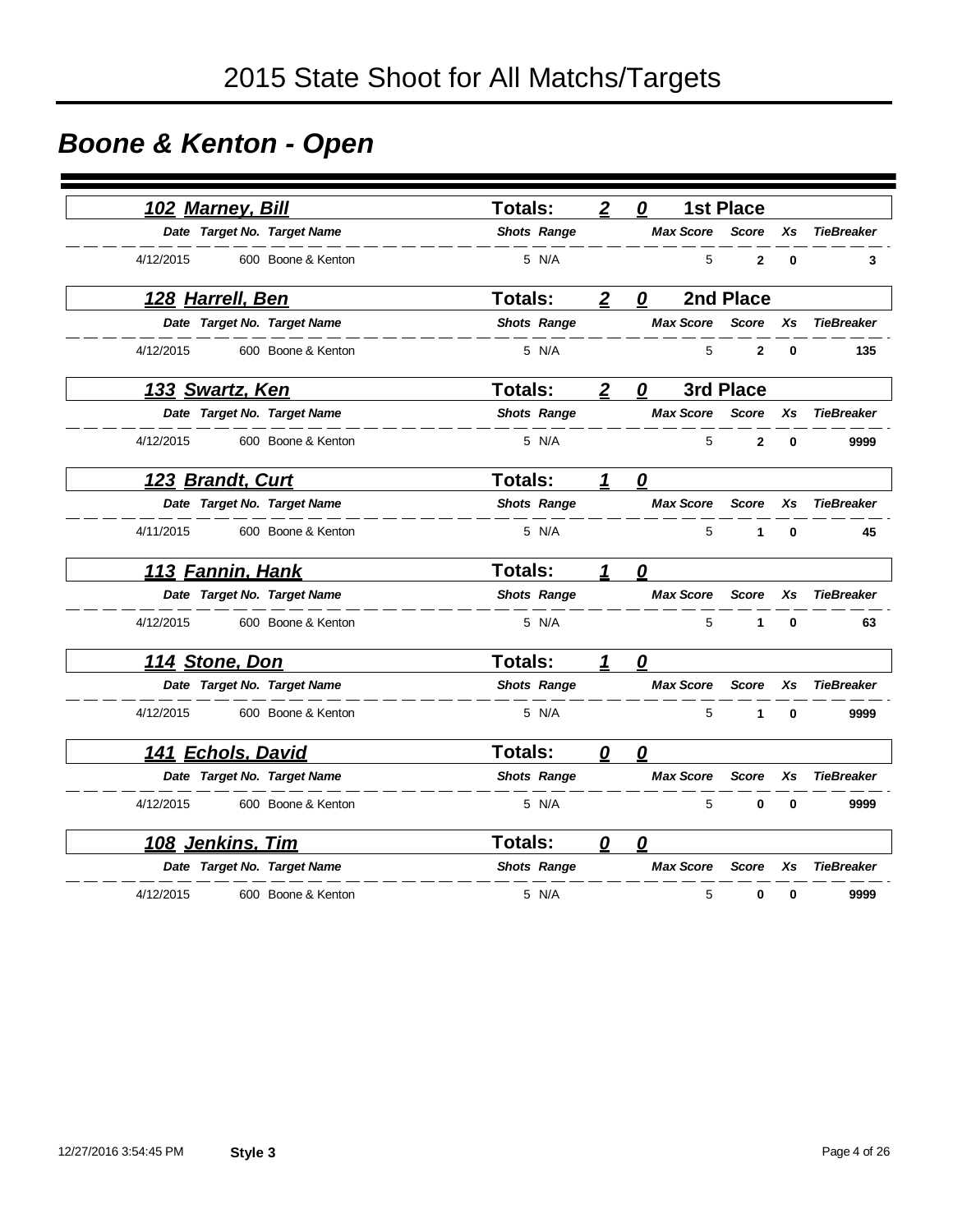# *Boone & Kenton - Open*

|           | 102 Marney, Bill        |                             | <b>Totals:</b>     | $\boldsymbol{2}$ | 0                      | <b>1st Place</b> |          |                   |
|-----------|-------------------------|-----------------------------|--------------------|------------------|------------------------|------------------|----------|-------------------|
|           |                         | Date Target No. Target Name | <b>Shots Range</b> |                  | <b>Max Score</b>       | <b>Score</b>     | Xs       | <b>TieBreaker</b> |
| 4/12/2015 |                         | 600 Boone & Kenton          | 5 N/A              |                  | 5                      | $\mathbf{2}$     | $\bf{0}$ | 3                 |
|           | <u>128 Harrell, Ben</u> |                             | <b>Totals:</b>     | $\overline{2}$   | 0                      | 2nd Place        |          |                   |
|           |                         | Date Target No. Target Name | <b>Shots Range</b> |                  | <b>Max Score</b>       | <b>Score</b>     | Xs       | <b>TieBreaker</b> |
| 4/12/2015 |                         | 600 Boone & Kenton          | 5 N/A              |                  | 5                      | 2                | $\bf{0}$ | 135               |
|           | 133 Swartz, Ken         |                             | <b>Totals:</b>     | $\overline{2}$   | 0                      | 3rd Place        |          |                   |
|           |                         | Date Target No. Target Name | <b>Shots Range</b> |                  | <b>Max Score</b>       | <b>Score</b>     | Xs       | <b>TieBreaker</b> |
| 4/12/2015 |                         | 600 Boone & Kenton          | 5 N/A              |                  | 5                      | $\overline{2}$   | $\bf{0}$ | 9999              |
|           | 123 Brandt, Curt        |                             | <b>Totals:</b>     | 1                | $\boldsymbol{\varrho}$ |                  |          |                   |
|           |                         | Date Target No. Target Name | <b>Shots Range</b> |                  | <b>Max Score</b>       | <b>Score</b>     | Xs       | <b>TieBreaker</b> |
| 4/11/2015 |                         | 600 Boone & Kenton          | 5 N/A              |                  | 5                      | 1                | $\bf{0}$ | 45                |
|           | 113 Fannin, Hank        |                             | <b>Totals:</b>     | 1                | 0                      |                  |          |                   |
|           |                         | Date Target No. Target Name | <b>Shots Range</b> |                  | <b>Max Score</b>       | <b>Score</b>     | Xs       | <b>TieBreaker</b> |
| 4/12/2015 |                         | 600 Boone & Kenton          | 5 N/A              |                  | 5                      | 1                | $\bf{0}$ | 63                |
|           | 114 Stone, Don          |                             | <b>Totals:</b>     | 1                | 0                      |                  |          |                   |
|           |                         | Date Target No. Target Name | <b>Shots Range</b> |                  | <b>Max Score</b>       | <b>Score</b>     | Xs       | <b>TieBreaker</b> |
| 4/12/2015 |                         | 600 Boone & Kenton          | 5 N/A              |                  | 5                      | 1                | 0        | 9999              |
|           | 141 Echols, David       |                             | Totals:            | 0                | 0                      |                  |          |                   |
|           |                         | Date Target No. Target Name | <b>Shots Range</b> |                  | <b>Max Score</b>       | Score            | Xs       | <b>TieBreaker</b> |
| 4/12/2015 |                         | 600 Boone & Kenton          | 5 N/A              |                  | 5                      | $\bf{0}$         | $\bf{0}$ | 9999              |
|           | 108 Jenkins, Tim        |                             | <b>Totals:</b>     | 0                | 0                      |                  |          |                   |
|           |                         | Date Target No. Target Name | <b>Shots Range</b> |                  | <b>Max Score</b>       | <b>Score</b>     | Xs       | <b>TieBreaker</b> |
| 4/12/2015 |                         | 600 Boone & Kenton          | 5 N/A              |                  | 5                      | 0                | 0        | 9999              |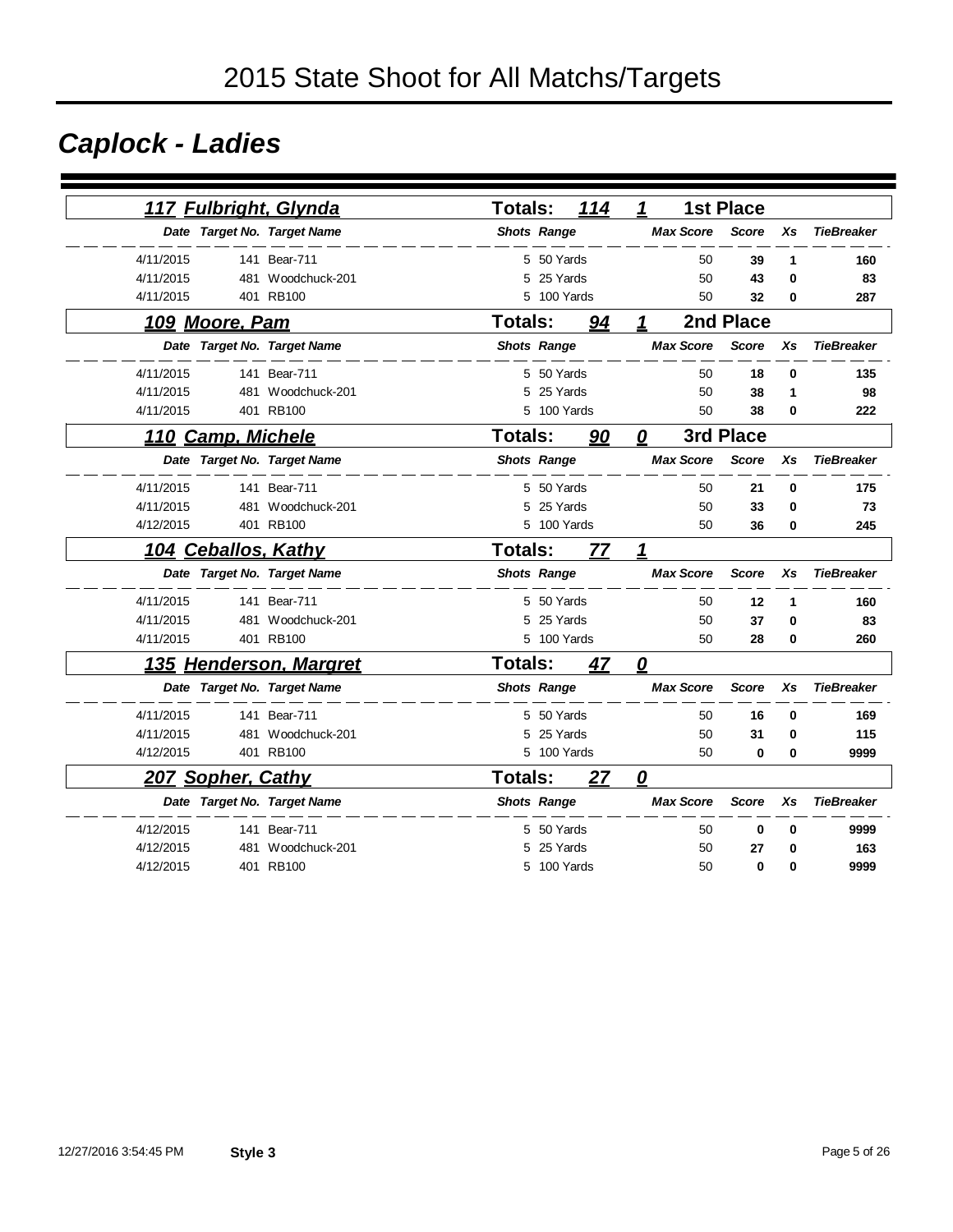# *Caplock - Ladies*

|           |                          | 117 Fulbright, Glynda       | <b>Totals:</b> |                    | 114 | 1 |                  | <b>1st Place</b> |           |                   |
|-----------|--------------------------|-----------------------------|----------------|--------------------|-----|---|------------------|------------------|-----------|-------------------|
|           |                          | Date Target No. Target Name |                | <b>Shots Range</b> |     |   | <b>Max Score</b> | <b>Score</b>     | Xs        | <b>TieBreaker</b> |
| 4/11/2015 |                          | 141 Bear-711                |                | 5 50 Yards         |     |   | 50               | 39               | 1         | 160               |
| 4/11/2015 |                          | 481 Woodchuck-201           |                | 5 25 Yards         |     |   | 50               | 43               | $\bf{0}$  | 83                |
| 4/11/2015 |                          | 401 RB100                   | 5              | 100 Yards          |     |   | 50               | 32               | 0         | 287               |
|           | 109 Moore, Pam           |                             | Totals:        |                    | 94  | 1 |                  | 2nd Place        |           |                   |
|           |                          | Date Target No. Target Name |                | <b>Shots Range</b> |     |   | <b>Max Score</b> | <b>Score</b>     | Xs        | <b>TieBreaker</b> |
| 4/11/2015 |                          | 141 Bear-711                |                | 5 50 Yards         |     |   | 50               | 18               | 0         | 135               |
| 4/11/2015 |                          | 481 Woodchuck-201           | 5              | 25 Yards           |     |   | 50               | 38               | 1         | 98                |
| 4/11/2015 |                          | 401 RB100                   | 5              | 100 Yards          |     |   | 50               | 38               | $\bf{0}$  | 222               |
|           | 110 Camp, Michele        |                             | Totals:        |                    | 90  | 0 |                  | 3rd Place        |           |                   |
|           |                          | Date Target No. Target Name |                | <b>Shots Range</b> |     |   | <b>Max Score</b> | <b>Score</b>     | Xs        | <b>TieBreaker</b> |
| 4/11/2015 |                          | 141 Bear-711                |                | 5 50 Yards         |     |   | 50               | 21               | 0         | 175               |
| 4/11/2015 | 481                      | Woodchuck-201               | 5              | 25 Yards           |     |   | 50               | 33               | 0         | 73                |
| 4/12/2015 |                          | 401 RB100                   |                | 5 100 Yards        |     |   | 50               | 36               | 0         | 245               |
|           | 104 Ceballos, Kathy      |                             | <b>Totals:</b> |                    | 77  | 1 |                  |                  |           |                   |
|           |                          | Date Target No. Target Name |                | <b>Shots Range</b> |     |   | <b>Max Score</b> | <b>Score</b>     | <b>Xs</b> | <b>TieBreaker</b> |
| 4/11/2015 |                          | 141 Bear-711                |                | 5 50 Yards         |     |   | 50               | 12               | 1         | 160               |
| 4/11/2015 |                          | 481 Woodchuck-201           |                | 5 25 Yards         |     |   | 50               | 37               | 0         | 83                |
| 4/11/2015 |                          | 401 RB100                   |                | 5 100 Yards        |     |   | 50               | 28               | 0         | 260               |
|           |                          | 135 Henderson, Margret      | <b>Totals:</b> |                    | 47  | 0 |                  |                  |           |                   |
|           |                          | Date Target No. Target Name |                | <b>Shots Range</b> |     |   | <b>Max Score</b> | <b>Score</b>     | Xs        | <b>TieBreaker</b> |
| 4/11/2015 |                          | 141 Bear-711                |                | 5 50 Yards         |     |   | 50               | 16               | 0         | 169               |
| 4/11/2015 | 481                      | Woodchuck-201               | 5              | 25 Yards           |     |   | 50               | 31               | 0         | 115               |
| 4/12/2015 |                          | 401 RB100                   |                | 5 100 Yards        |     |   | 50               | 0                | 0         | 9999              |
|           | <b>207 Sopher, Cathy</b> |                             | <b>Totals:</b> |                    | 27  | 0 |                  |                  |           |                   |
|           |                          | Date Target No. Target Name |                | <b>Shots Range</b> |     |   | <b>Max Score</b> | <b>Score</b>     | Xs        | <b>TieBreaker</b> |
| 4/12/2015 |                          | 141 Bear-711                | 5              | 50 Yards           |     |   | 50               | 0                | 0         | 9999              |
| 4/12/2015 | 481                      | Woodchuck-201               | 5              | 25 Yards           |     |   | 50               | 27               | 0         | 163               |
| 4/12/2015 |                          | 401 RB100                   |                | 5 100 Yards        |     |   | 50               | 0                | 0         | 9999              |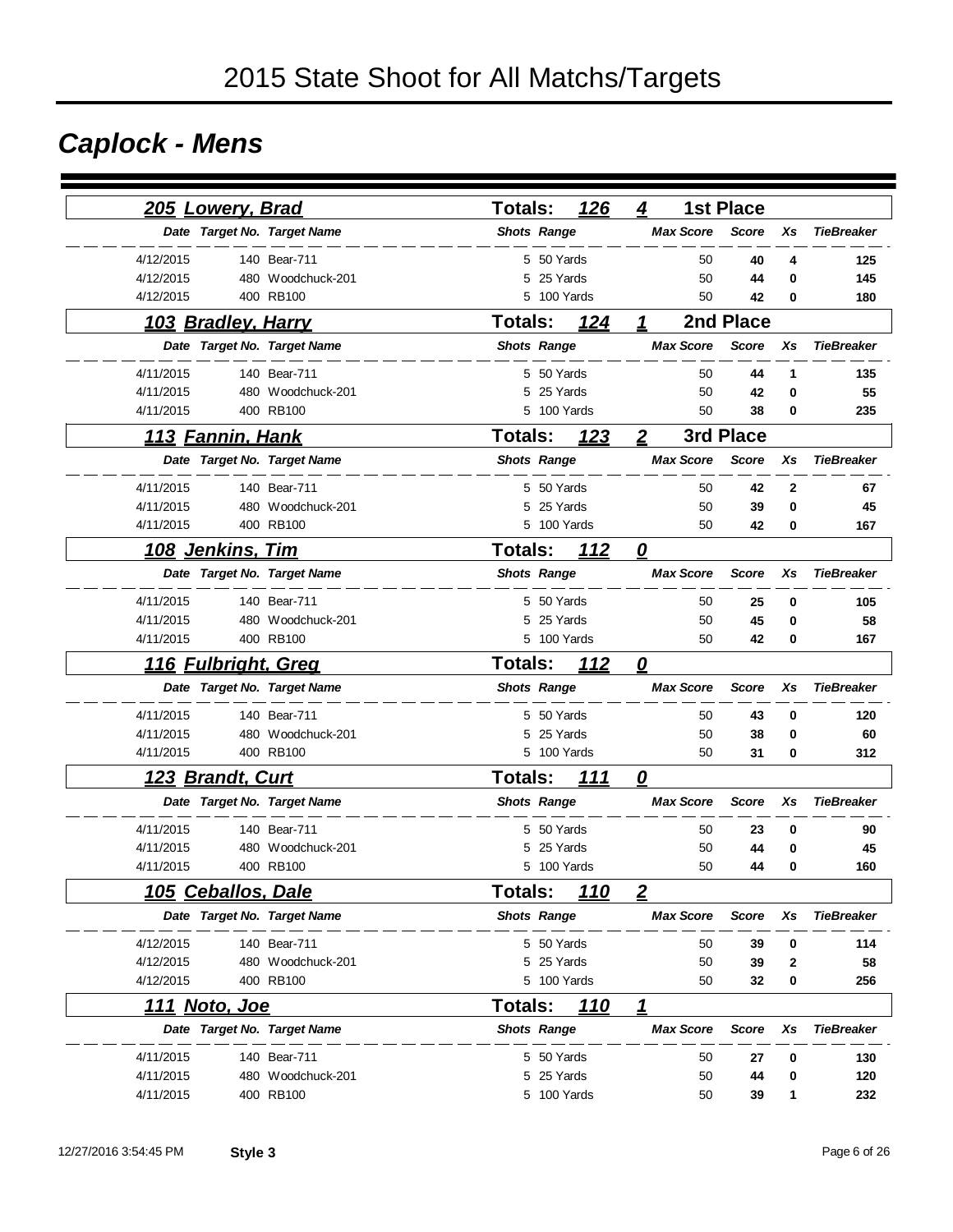# *Caplock - Mens*

| 205 Lowery, Brad            |                   | <b>Totals:</b>     | 126        | 4                          | <b>1st Place</b> |        |                   |
|-----------------------------|-------------------|--------------------|------------|----------------------------|------------------|--------|-------------------|
| Date Target No. Target Name |                   | <b>Shots Range</b> |            | <b>Max Score</b>           | <b>Score</b>     | Xs     | <b>TieBreaker</b> |
| 4/12/2015                   | 140 Bear-711      | 5 50 Yards         |            | 50                         |                  |        |                   |
| 4/12/2015                   | 480 Woodchuck-201 | 25 Yards<br>5      |            | 50                         | 40               | 4      | 125               |
| 4/12/2015                   | 400 RB100         | 5<br>100 Yards     |            | 50                         | 44<br>42         | 0<br>0 | 145<br>180        |
|                             |                   |                    |            |                            |                  |        |                   |
| 103 Bradley, Harry          |                   | <b>Totals:</b>     | 124        | 1                          | 2nd Place        |        |                   |
| Date Target No. Target Name |                   | <b>Shots Range</b> |            | <b>Max Score</b>           | <b>Score</b>     | Xs     | <b>TieBreaker</b> |
| 4/11/2015                   | 140 Bear-711      | 5 50 Yards         |            | 50                         | 44               | 1      | 135               |
| 4/11/2015                   | 480 Woodchuck-201 | 25 Yards<br>5      |            | 50                         | 42               | 0      | 55                |
| 4/11/2015                   | 400 RB100         | 5 100 Yards        |            | 50                         | 38               | 0      | 235               |
| 113 Fannin, Hank            |                   | <b>Totals:</b>     | 123        | $\boldsymbol{2}$           | 3rd Place        |        |                   |
| Date Target No. Target Name |                   | <b>Shots Range</b> |            | <b>Max Score</b>           | <b>Score</b>     | Xs     | <b>TieBreaker</b> |
| 4/11/2015                   | 140 Bear-711      | 5 50 Yards         |            | 50                         | 42               | 2      | 67                |
| 4/11/2015                   | 480 Woodchuck-201 | 5 25 Yards         |            | 50                         | 39               | 0      | 45                |
| 4/11/2015                   | 400 RB100         | 5 100 Yards        |            | 50                         | 42               | 0      | 167               |
| <u>108 Jenkins, Tim</u>     |                   | <b>Totals:</b>     | <u>112</u> | $\overline{\mathbf{0}}$    |                  |        |                   |
| Date Target No. Target Name |                   | <b>Shots Range</b> |            | <b>Max Score</b>           | <b>Score</b>     | Xs     | <b>TieBreaker</b> |
| 4/11/2015                   | 140 Bear-711      | 5 50 Yards         |            | 50                         | 25               | 0      | 105               |
| 4/11/2015                   | 480 Woodchuck-201 | 5 25 Yards         |            | 50                         | 45               | 0      | 58                |
| 4/11/2015                   | 400 RB100         | 5 100 Yards        |            | 50                         | 42               | 0      | 167               |
| <u>116 Fulbright, Greg</u>  |                   | <b>Totals:</b>     | 112        | $\overline{\mathbf{0}}$    |                  |        |                   |
| Date Target No. Target Name |                   | <b>Shots Range</b> |            | <b>Max Score</b>           | <b>Score</b>     | Xs     | <b>TieBreaker</b> |
| 4/11/2015                   | 140 Bear-711      | 5 50 Yards         |            | 50                         | 43               | 0      | 120               |
| 4/11/2015                   | 480 Woodchuck-201 | 5 25 Yards         |            | 50                         | 38               | 0      | 60                |
| 4/11/2015                   | 400 RB100         | 5 100 Yards        |            | 50                         | 31               | 0      | 312               |
| 123 Brandt, Curt            |                   | <b>Totals:</b>     | 111        | 0                          |                  |        |                   |
| Date Target No. Target Name |                   | <b>Shots Range</b> |            | <b>Max Score</b>           | <b>Score</b>     | Xs     | <b>TieBreaker</b> |
| 4/11/2015                   | 140 Bear-711      | 5 50 Yards         |            | 50                         | 23               | 0      | 90                |
| 4/11/2015                   | 480 Woodchuck-201 | 5<br>25 Yards      |            | 50                         | 44               | 0      | 45                |
| 4/11/2015                   | 400 RB100         | 5<br>100 Yards     |            | 50                         | 44               | 0      | 160               |
| 105 Ceballos, Dale          |                   | Totals:            | 110        | $\overline{2}$             |                  |        |                   |
| Date Target No. Target Name |                   | <b>Shots Range</b> |            | <b>Max Score</b>           | <b>Score</b>     | Xs     | <b>TieBreaker</b> |
| 4/12/2015                   | 140 Bear-711      | 5 50 Yards         |            | 50                         | 39               | 0      | 114               |
| 4/12/2015                   | 480 Woodchuck-201 | 5 25 Yards         |            | 50                         | 39               | 2      | 58                |
| 4/12/2015                   | 400 RB100         | 5 100 Yards        |            | 50                         | 32               | 0      | 256               |
| <u> 111 Noto, Joe</u>       |                   | <b>Totals:</b>     | <u>110</u> | $\boldsymbol{\mathcal{L}}$ |                  |        |                   |
| Date Target No. Target Name |                   | <b>Shots Range</b> |            | <b>Max Score</b>           | <b>Score</b>     | Xs     | <b>TieBreaker</b> |
| 4/11/2015                   | 140 Bear-711      | 5 50 Yards         |            | 50                         | 27               | 0      | 130               |
| 4/11/2015                   | 480 Woodchuck-201 | 5 25 Yards         |            | 50                         | 44               | 0      | 120               |
| 4/11/2015                   | 400 RB100         | 5 100 Yards        |            | 50                         | 39               | 1      | 232               |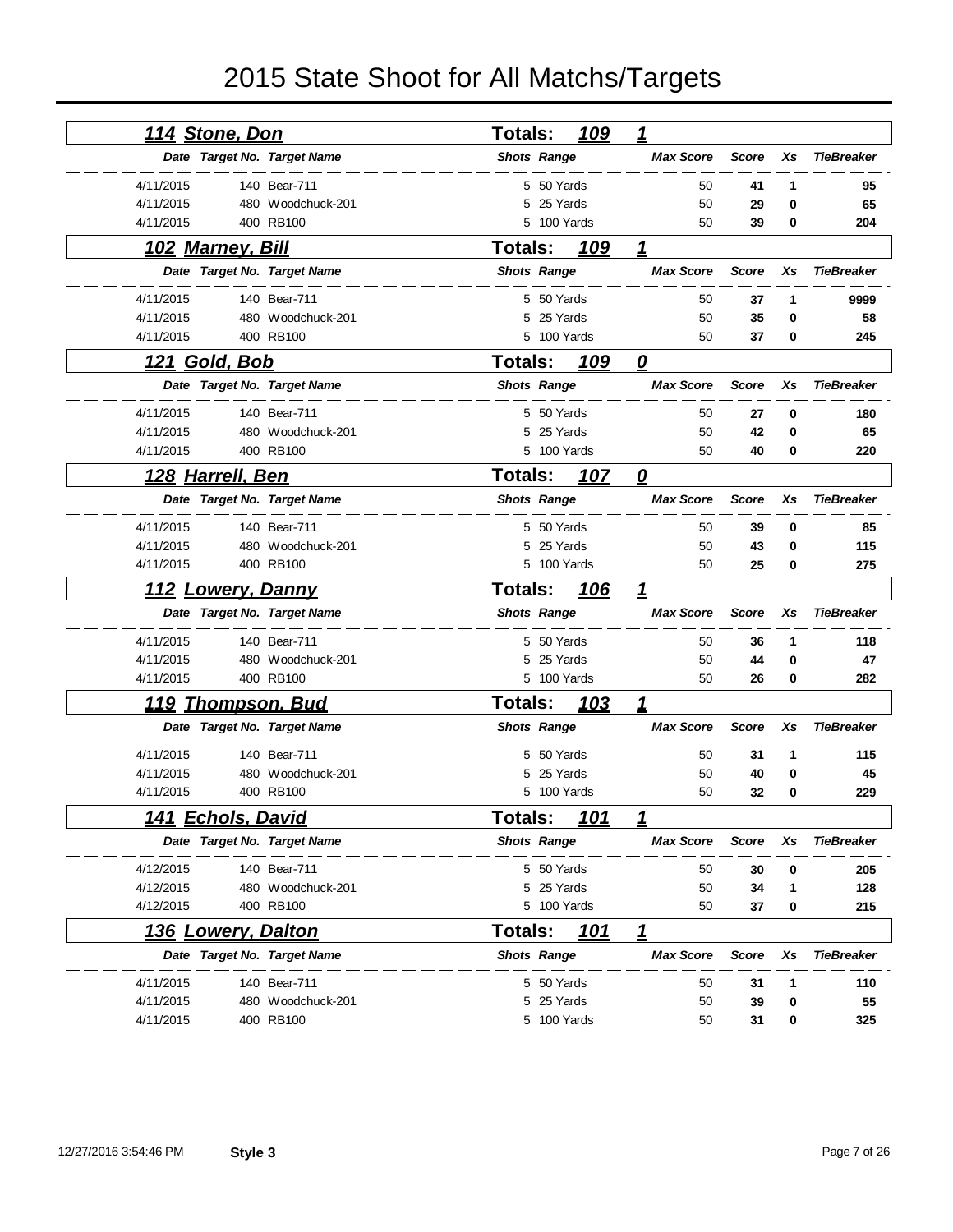| <u>114 Stone, Don</u>       |                   | <b>Totals:</b>     |             | <u> 109</u> | 1                |              |    |                   |
|-----------------------------|-------------------|--------------------|-------------|-------------|------------------|--------------|----|-------------------|
| Date Target No. Target Name |                   | <b>Shots Range</b> |             |             | <b>Max Score</b> | <b>Score</b> | Xs | <b>TieBreaker</b> |
| 4/11/2015                   | 140 Bear-711      |                    | 5 50 Yards  |             | 50               | 41           | 1  | 95                |
| 4/11/2015                   | 480 Woodchuck-201 | 5                  | 25 Yards    |             | 50               | 29           | 0  | 65                |
| 4/11/2015                   | 400 RB100         |                    | 5 100 Yards |             | 50               | 39           | 0  | 204               |
| <u>102 Marney, Bill</u>     |                   | <b>Totals:</b>     |             | 109         | 1                |              |    |                   |
| Date Target No. Target Name |                   | <b>Shots Range</b> |             |             | <b>Max Score</b> | <b>Score</b> | Xs | <b>TieBreaker</b> |
| 4/11/2015                   | 140 Bear-711      |                    | 5 50 Yards  |             | 50               | 37           | 1  | 9999              |
| 4/11/2015                   | 480 Woodchuck-201 | 5                  | 25 Yards    |             | 50               | 35           | 0  | 58                |
| 4/11/2015                   | 400 RB100         |                    | 5 100 Yards |             | 50               | 37           | 0  | 245               |
| 121 Gold, Bob               |                   | <b>Totals:</b>     |             | 109         | 0                |              |    |                   |
| Date Target No. Target Name |                   | <b>Shots Range</b> |             |             | <b>Max Score</b> | <b>Score</b> | Xs | <b>TieBreaker</b> |
| 4/11/2015                   | 140 Bear-711      |                    | 5 50 Yards  |             | 50               | 27           | 0  | 180               |
| 4/11/2015                   | 480 Woodchuck-201 |                    | 5 25 Yards  |             | 50               | 42           | 0  | 65                |
| 4/11/2015                   | 400 RB100         |                    | 5 100 Yards |             | 50               | 40           | 0  | 220               |
| 128 Harrell, Ben            |                   | <b>Totals:</b>     |             | 107         | 0                |              |    |                   |
| Date Target No. Target Name |                   | <b>Shots Range</b> |             |             | <b>Max Score</b> | <b>Score</b> | Xs | <b>TieBreaker</b> |
| 4/11/2015                   | 140 Bear-711      |                    | 5 50 Yards  |             | 50               | 39           | 0  | 85                |
| 4/11/2015                   | 480 Woodchuck-201 |                    | 5 25 Yards  |             | 50               | 43           | 0  | 115               |
| 4/11/2015                   | 400 RB100         |                    | 5 100 Yards |             | 50               | 25           | 0  | 275               |
| <u>112 Lowery, Danny</u>    |                   | Totals:            |             | 106         | 1                |              |    |                   |
| Date Target No. Target Name |                   | <b>Shots Range</b> |             |             | <b>Max Score</b> | <b>Score</b> | Xs | <b>TieBreaker</b> |
| 4/11/2015                   | 140 Bear-711      |                    | 5 50 Yards  |             | 50               | 36           | 1  | 118               |
| 4/11/2015                   | 480 Woodchuck-201 |                    | 5 25 Yards  |             | 50               | 44           | 0  | 47                |
| 4/11/2015                   | 400 RB100         |                    | 5 100 Yards |             | 50               | 26           | 0  | 282               |
| <u> 119 Thompson, Bud</u>   |                   | <b>Totals:</b>     |             | <u> 103</u> | 1                |              |    |                   |
| Date Target No. Target Name |                   | <b>Shots Range</b> |             |             | <b>Max Score</b> | <b>Score</b> | Xs | <b>TieBreaker</b> |
| 4/11/2015                   | 140 Bear-711      |                    | 5 50 Yards  |             | 50               | 31           | 1  | 115               |
| 4/11/2015                   | 480 Woodchuck-201 | 5                  | 25 Yards    |             | 50               | 40           | 0  | 45                |
| 4/11/2015                   | 400 RB100         |                    | 5 100 Yards |             | 50               | 32           | 0  | 229               |
| 141 Echols, David           |                   | Totals:            |             | 101         | 1                |              |    |                   |
| Date Target No. Target Name |                   | <b>Shots Range</b> |             |             | <b>Max Score</b> | <b>Score</b> | Xs | <b>TieBreaker</b> |
| 4/12/2015                   | 140 Bear-711      |                    | 5 50 Yards  |             | 50               | 30           | 0  | 205               |
| 4/12/2015                   | 480 Woodchuck-201 |                    | 5 25 Yards  |             | 50               | 34           | 1  | 128               |
|                             |                   |                    | 5 100 Yards |             | 50               | 37           | 0  | 215               |
| 4/12/2015                   | 400 RB100         |                    |             |             |                  |              |    |                   |
| <u>136 Lowery, Dalton</u>   |                   | <b>Totals:</b>     |             | 101         | 1                |              |    |                   |
| Date Target No. Target Name |                   | <b>Shots Range</b> |             |             | <b>Max Score</b> | <b>Score</b> | Xs | <b>TieBreaker</b> |
| 4/11/2015                   | 140 Bear-711      |                    | 5 50 Yards  |             | 50               | 31           | 1  | 110               |
| 4/11/2015                   | 480 Woodchuck-201 | 5                  | 25 Yards    |             | 50               | 39           | 0  | 55                |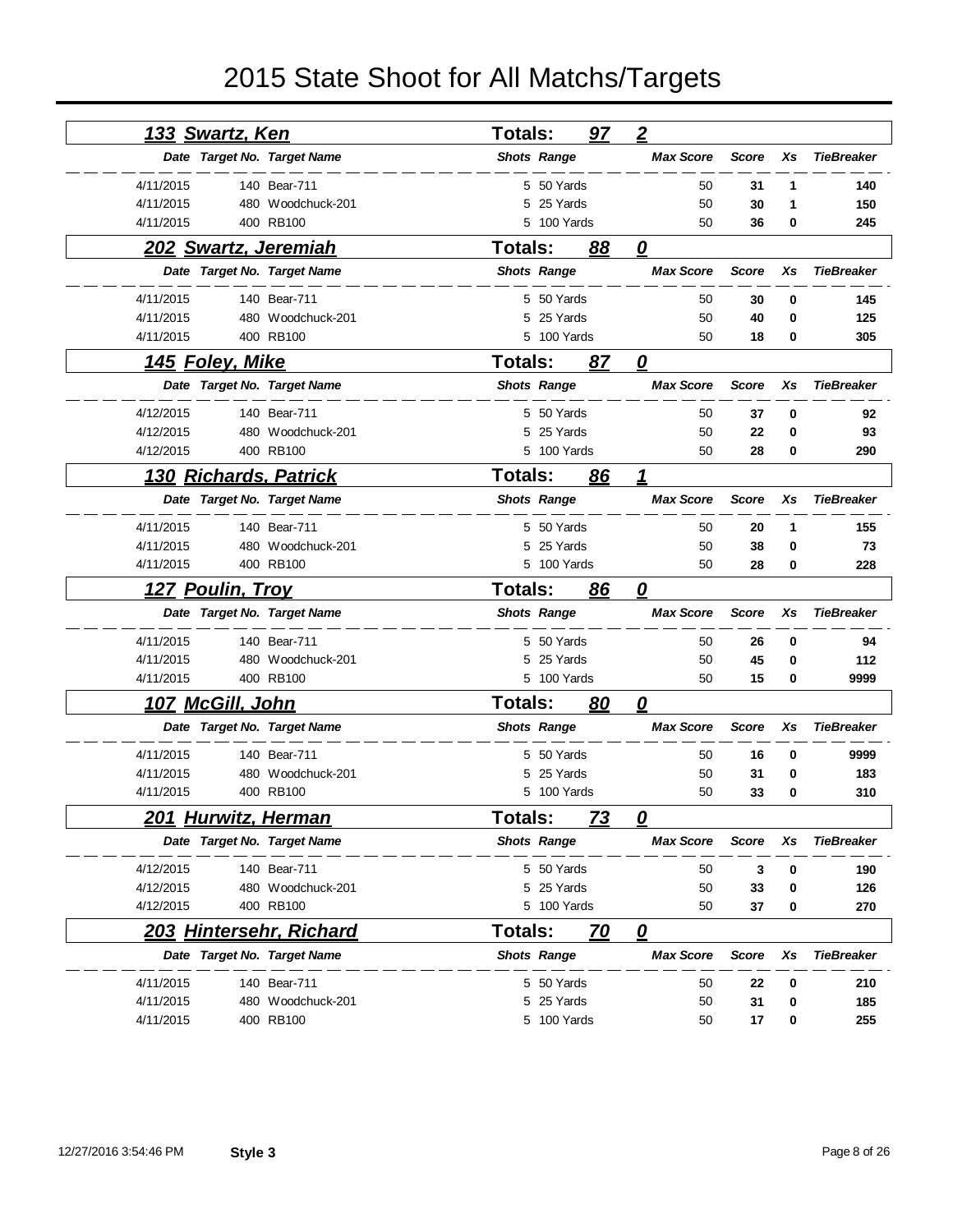| <u>133 Swartz, Ken</u>          |                   | <b>Totals:</b> |                    | <u>97</u> | $\overline{2}$             |              |    |                   |
|---------------------------------|-------------------|----------------|--------------------|-----------|----------------------------|--------------|----|-------------------|
| Date Target No. Target Name     |                   |                | <b>Shots Range</b> |           | <b>Max Score</b>           | <b>Score</b> | Xs | <b>TieBreaker</b> |
| 4/11/2015                       | 140 Bear-711      |                | 5 50 Yards         |           | 50                         | 31           | 1  | 140               |
| 4/11/2015                       | 480 Woodchuck-201 |                | 5 25 Yards         |           | 50                         | 30           | 1  | 150               |
| 4/11/2015                       | 400 RB100         |                | 5 100 Yards        |           | 50                         | 36           | 0  | 245               |
| <b>202 Swartz, Jeremiah</b>     |                   | <b>Totals:</b> |                    | 88        | 0                          |              |    |                   |
| Date Target No. Target Name     |                   |                | <b>Shots Range</b> |           | <b>Max Score</b>           | <b>Score</b> | Xs | <b>TieBreaker</b> |
| 4/11/2015                       | 140 Bear-711      |                | 5 50 Yards         |           | 50                         | 30           | 0  | 145               |
| 4/11/2015                       | 480 Woodchuck-201 | 5              | 25 Yards           |           | 50                         | 40           | 0  | 125               |
| 4/11/2015                       | 400 RB100         |                | 5 100 Yards        |           | 50                         | 18           | 0  | 305               |
| <u>145 Foley, Mike</u>          |                   | <b>Totals:</b> |                    | 87        | 0                          |              |    |                   |
| Date Target No. Target Name     |                   |                | <b>Shots Range</b> |           | <b>Max Score</b>           | <b>Score</b> | Xs | <b>TieBreaker</b> |
| 4/12/2015                       | 140 Bear-711      |                | 5 50 Yards         |           | 50                         | 37           | 0  | 92                |
| 4/12/2015                       | 480 Woodchuck-201 |                | 5 25 Yards         |           | 50                         | 22           | 0  | 93                |
| 4/12/2015                       | 400 RB100         |                | 5 100 Yards        |           | 50                         | 28           | 0  | 290               |
| <u>130 Richards, Patrick</u>    |                   | <b>Totals:</b> |                    | 86        | $\boldsymbol{\mathcal{L}}$ |              |    |                   |
| Date Target No. Target Name     |                   |                | <b>Shots Range</b> |           | <b>Max Score</b>           | <b>Score</b> | Xs | <b>TieBreaker</b> |
| 4/11/2015                       | 140 Bear-711      |                | 5 50 Yards         |           | 50                         | 20           | 1  | 155               |
| 4/11/2015                       | 480 Woodchuck-201 | 5              | 25 Yards           |           | 50                         | 38           | 0  | 73                |
| 4/11/2015                       | 400 RB100         |                | 5 100 Yards        |           | 50                         | 28           | 0  | 228               |
|                                 |                   |                |                    |           |                            |              |    |                   |
| 127 Poulin, Troy                |                   | <b>Totals:</b> |                    | 86        | 0                          |              |    |                   |
| Date Target No. Target Name     |                   |                | <b>Shots Range</b> |           | <b>Max Score</b>           | <b>Score</b> | Xs | <b>TieBreaker</b> |
| 4/11/2015                       | 140 Bear-711      |                | 5 50 Yards         |           | 50                         | 26           | 0  | 94                |
| 4/11/2015                       | 480 Woodchuck-201 | 5              | 25 Yards           |           | 50                         | 45           | 0  | 112               |
| 4/11/2015                       | 400 RB100         |                | 5 100 Yards        |           | 50                         | 15           | 0  | 9999              |
| <u>107 McGill, John</u>         |                   | <b>Totals:</b> |                    | <u>80</u> | $\boldsymbol{\varrho}$     |              |    |                   |
| Date Target No. Target Name     |                   |                | <b>Shots Range</b> |           | <b>Max Score</b>           | <b>Score</b> | Xs | <b>TieBreaker</b> |
| 4/11/2015                       | 140 Bear-711      |                | 5 50 Yards         |           | 50                         | 16           | 0  | 9999              |
| 4/11/2015                       | 480 Woodchuck-201 | 5              | 25 Yards           |           | 50                         | 31           | 0  | 183               |
| 4/11/2015                       | 400 RB100         |                | 5 100 Yards        |           | 50                         | 33           | 0  | 310               |
| <u> 201 Hurwitz, Herman</u>     |                   | Totals:        |                    | 73        | 0                          |              |    |                   |
| Date Target No. Target Name     |                   |                | <b>Shots Range</b> |           | <b>Max Score</b>           | Score        | Xs | <b>TieBreaker</b> |
| 4/12/2015                       | 140 Bear-711      |                | 5 50 Yards         |           | 50                         | 3            | 0  | 190               |
| 4/12/2015                       | 480 Woodchuck-201 |                | 5 25 Yards         |           | 50                         | 33           | 0  | 126               |
| 4/12/2015                       | 400 RB100         |                | 5 100 Yards        |           | 50                         | 37           | 0  | 270               |
| <u> 203 Hintersehr, Richard</u> |                   | <b>Totals:</b> |                    | 70        | $\overline{\mathbf{0}}$    |              |    |                   |
| Date Target No. Target Name     |                   |                | <b>Shots Range</b> |           | <b>Max Score</b>           | <b>Score</b> | Xs | <b>TieBreaker</b> |
| 4/11/2015                       | 140 Bear-711      |                | 5 50 Yards         |           | 50                         | 22           | 0  | 210               |
| 4/11/2015                       | 480 Woodchuck-201 |                | 5 25 Yards         |           | 50                         | 31           | 0  | 185               |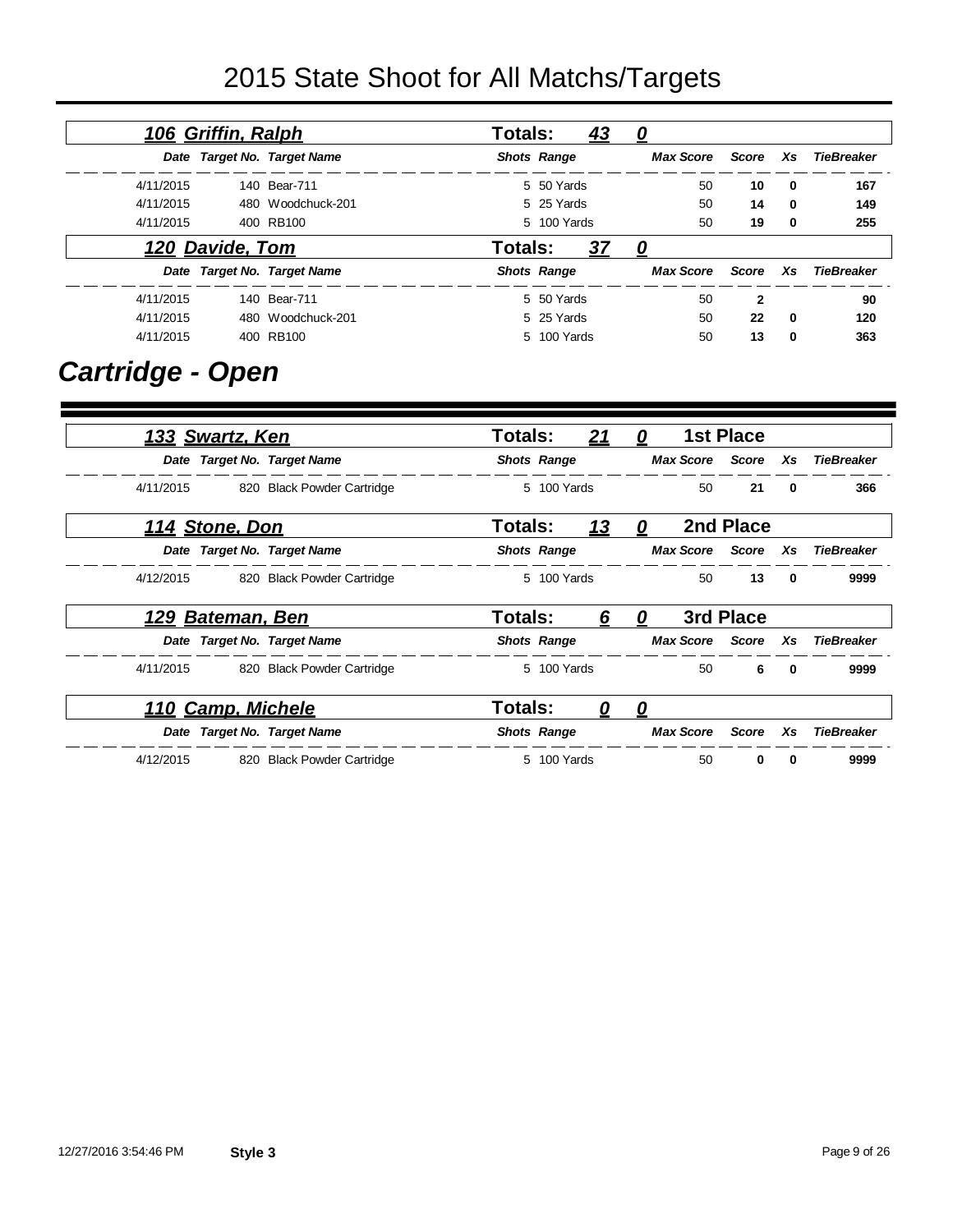|           | 106 Griffin, Ralph |                             | <b>Totals:</b> |                    | 43        | 0                |       |             |            |
|-----------|--------------------|-----------------------------|----------------|--------------------|-----------|------------------|-------|-------------|------------|
|           |                    | Date Target No. Target Name |                | <b>Shots Range</b> |           | <b>Max Score</b> | Score | <b>Xs</b>   | TieBreaker |
| 4/11/2015 |                    | 140 Bear-711                |                | 5 50 Yards         |           | 50               | 10    | $\mathbf 0$ | 167        |
| 4/11/2015 |                    | 480 Woodchuck-201           |                | 5 25 Yards         |           | 50               | 14    | $\mathbf 0$ | 149        |
| 4/11/2015 |                    | 400 RB100                   |                | 5 100 Yards        |           | 50               | 19    | $\bf{0}$    | 255        |
|           | 120 Davide, Tom    |                             | Totals:        |                    | <u>37</u> | 0                |       |             |            |
|           |                    | Date Target No. Target Name |                | <b>Shots Range</b> |           | <b>Max Score</b> | Score | <b>Xs</b>   | TieBreaker |
| 4/11/2015 |                    | 140 Bear-711                |                | 5 50 Yards         |           | 50               | 2     |             | 90         |
| 4/11/2015 |                    | 480 Woodchuck-201           |                | 5 25 Yards         |           | 50               | 22    | $\mathbf 0$ | 120        |
| 4/11/2015 |                    | 400 RB100                   |                | 5 100 Yards        |           | 50               | 13    | $\bf{0}$    | 363        |

### *Cartridge - Open*

| 133 Swartz, Ken             |                            | Totals:        |                    | 21        | 0        |                  | <b>1st Place</b>   |              |                   |
|-----------------------------|----------------------------|----------------|--------------------|-----------|----------|------------------|--------------------|--------------|-------------------|
| Date Target No. Target Name |                            |                | <b>Shots Range</b> |           |          |                  | Max Score Score Xs |              | <b>TieBreaker</b> |
| 4/11/2015                   | 820 Black Powder Cartridge |                | 5 100 Yards        |           |          | 50               | 21                 | $\mathbf{0}$ | 366               |
| 114 Stone, Don              |                            | Totals:        |                    | <u>13</u> | 0        |                  | 2nd Place          |              |                   |
| Date Target No. Target Name |                            |                | <b>Shots Range</b> |           |          | Max Score        | Score              | Xs           | <b>TieBreaker</b> |
| 4/12/2015                   | 820 Black Powder Cartridge |                | 5 100 Yards        |           |          | 50               | 13                 | $\mathbf{0}$ | 9999              |
| 129 Bateman, Ben            |                            | Totals:        |                    | 6         | 0        |                  | 3rd Place          |              |                   |
| Date Target No. Target Name |                            |                | <b>Shots Range</b> |           |          | <b>Max Score</b> | Score              | Xs           | <b>TieBreaker</b> |
| 4/11/2015                   | 820 Black Powder Cartridge |                | 5 100 Yards        |           |          | 50               | 6                  | $\mathbf{0}$ | 9999              |
| 110 Camp, Michele           |                            | <b>Totals:</b> |                    | 0         | <u>0</u> |                  |                    |              |                   |
| Date Target No. Target Name |                            |                | <b>Shots Range</b> |           |          | <b>Max Score</b> | Score              | Xs           | <b>TieBreaker</b> |
| 4/12/2015                   | 820 Black Powder Cartridge |                | 5 100 Yards        |           |          | 50               | $\bf{0}$           | 0            | 9999              |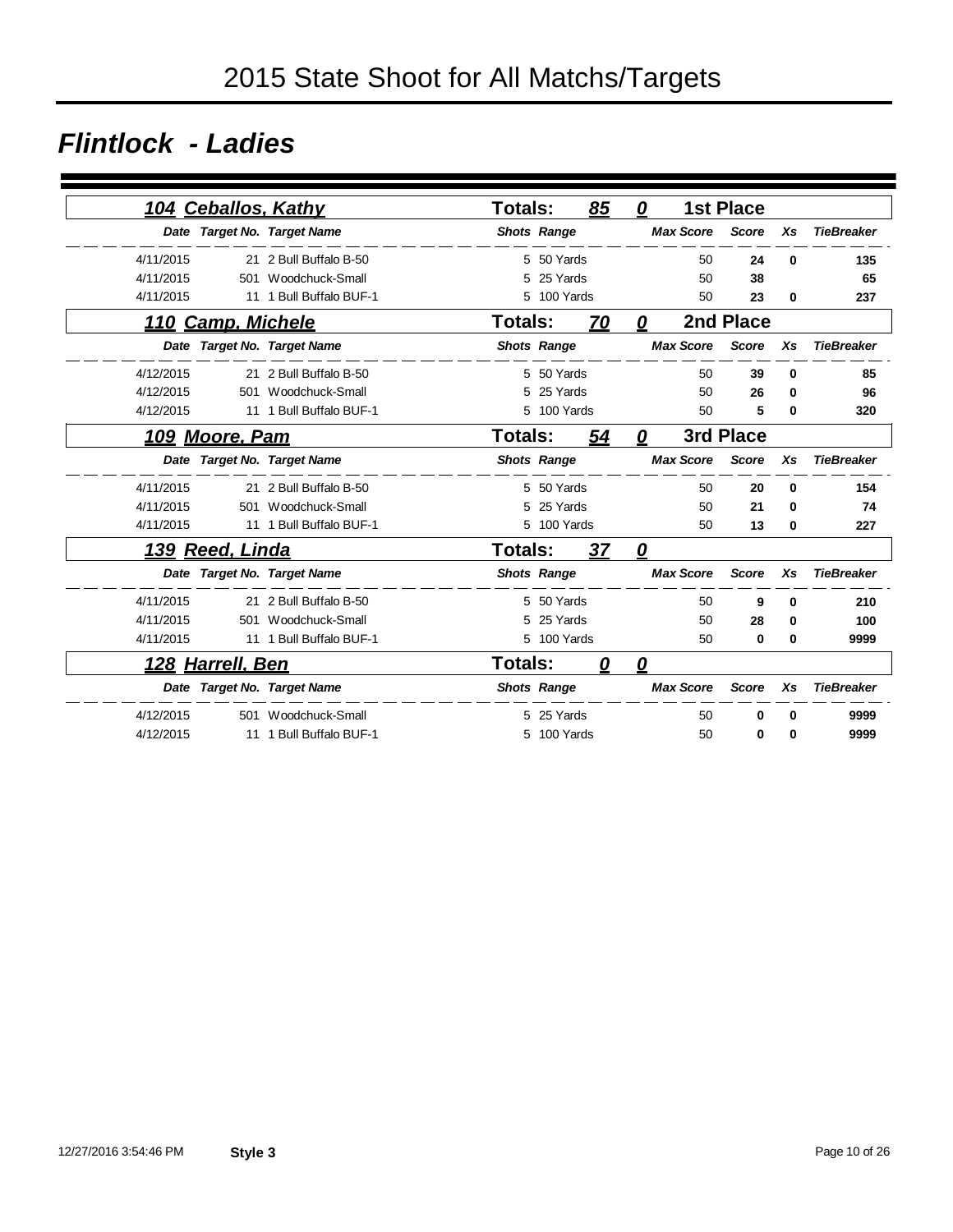### *Flintlock - Ladies*

|           | 104 Ceballos, Kathy   |                             | <b>Totals:</b> |                    | 85        | 0 |                  | <b>1st Place</b> |          |                   |
|-----------|-----------------------|-----------------------------|----------------|--------------------|-----------|---|------------------|------------------|----------|-------------------|
|           |                       | Date Target No. Target Name |                | <b>Shots Range</b> |           |   | <b>Max Score</b> | <b>Score</b>     | Xs       | <b>TieBreaker</b> |
| 4/11/2015 |                       | 21 2 Bull Buffalo B-50      |                | 5 50 Yards         |           |   | 50               | 24               | $\bf{0}$ | 135               |
| 4/11/2015 | 501                   | Woodchuck-Small             | 5              | 25 Yards           |           |   | 50               | 38               |          | 65                |
| 4/11/2015 |                       | 11 1 Bull Buffalo BUF-1     |                | 5 100 Yards        |           |   | 50               | 23               | $\bf{0}$ | 237               |
|           | 110 Camp, Michele     |                             | Totals:        |                    | 70        | 0 |                  | 2nd Place        |          |                   |
|           |                       | Date Target No. Target Name |                | <b>Shots Range</b> |           |   | <b>Max Score</b> | <b>Score</b>     | Xs       | <b>TieBreaker</b> |
| 4/12/2015 |                       | 21 2 Bull Buffalo B-50      |                | 5 50 Yards         |           |   | 50               | 39               | $\bf{0}$ | 85                |
| 4/12/2015 | 501                   | Woodchuck-Small             | 5              | 25 Yards           |           |   | 50               | 26               | $\bf{0}$ | 96                |
| 4/12/2015 |                       | 11 1 Bull Buffalo BUF-1     | 5              | 100 Yards          |           |   | 50               | 5                | 0        | 320               |
|           | <u>109 Moore, Pam</u> |                             | <b>Totals:</b> |                    | <u>54</u> | 0 |                  | 3rd Place        |          |                   |
|           |                       | Date Target No. Target Name |                | <b>Shots Range</b> |           |   | <b>Max Score</b> | <b>Score</b>     | Xs       | <b>TieBreaker</b> |
| 4/11/2015 |                       | 21 2 Bull Buffalo B-50      |                | 5 50 Yards         |           |   | 50               | 20               | $\Omega$ | 154               |
| 4/11/2015 | 501                   | Woodchuck-Small             | 5              | 25 Yards           |           |   | 50               | 21               | $\bf{0}$ | 74                |
| 4/11/2015 |                       | 11 1 Bull Buffalo BUF-1     |                | 5 100 Yards        |           |   | 50               | 13               | $\bf{0}$ | 227               |
|           | 139 Reed, Linda       |                             | Totals:        |                    | 37        | 0 |                  |                  |          |                   |
|           |                       | Date Target No. Target Name |                | <b>Shots Range</b> |           |   | <b>Max Score</b> | <b>Score</b>     | Xs       | <b>TieBreaker</b> |
| 4/11/2015 |                       | 21 2 Bull Buffalo B-50      |                | 5 50 Yards         |           |   | 50               | 9                | $\bf{0}$ | 210               |
| 4/11/2015 | 501                   | Woodchuck-Small             | 5              | 25 Yards           |           |   | 50               | 28               | 0        | 100               |
| 4/11/2015 |                       | 11 1 Bull Buffalo BUF-1     | 5              | 100 Yards          |           |   | 50               | $\bf{0}$         | $\bf{0}$ | 9999              |
|           | 128 Harrell, Ben      |                             | Totals:        |                    | 0         | 0 |                  |                  |          |                   |
|           |                       | Date Target No. Target Name |                | <b>Shots Range</b> |           |   | <b>Max Score</b> | <b>Score</b>     | Xs       | <b>TieBreaker</b> |
| 4/12/2015 |                       | 501 Woodchuck-Small         |                | 5 25 Yards         |           |   | 50               | 0                | $\bf{0}$ | 9999              |
| 4/12/2015 |                       | 11 1 Bull Buffalo BUF-1     | 5              | 100 Yards          |           |   | 50               | $\bf{0}$         | $\Omega$ | 9999              |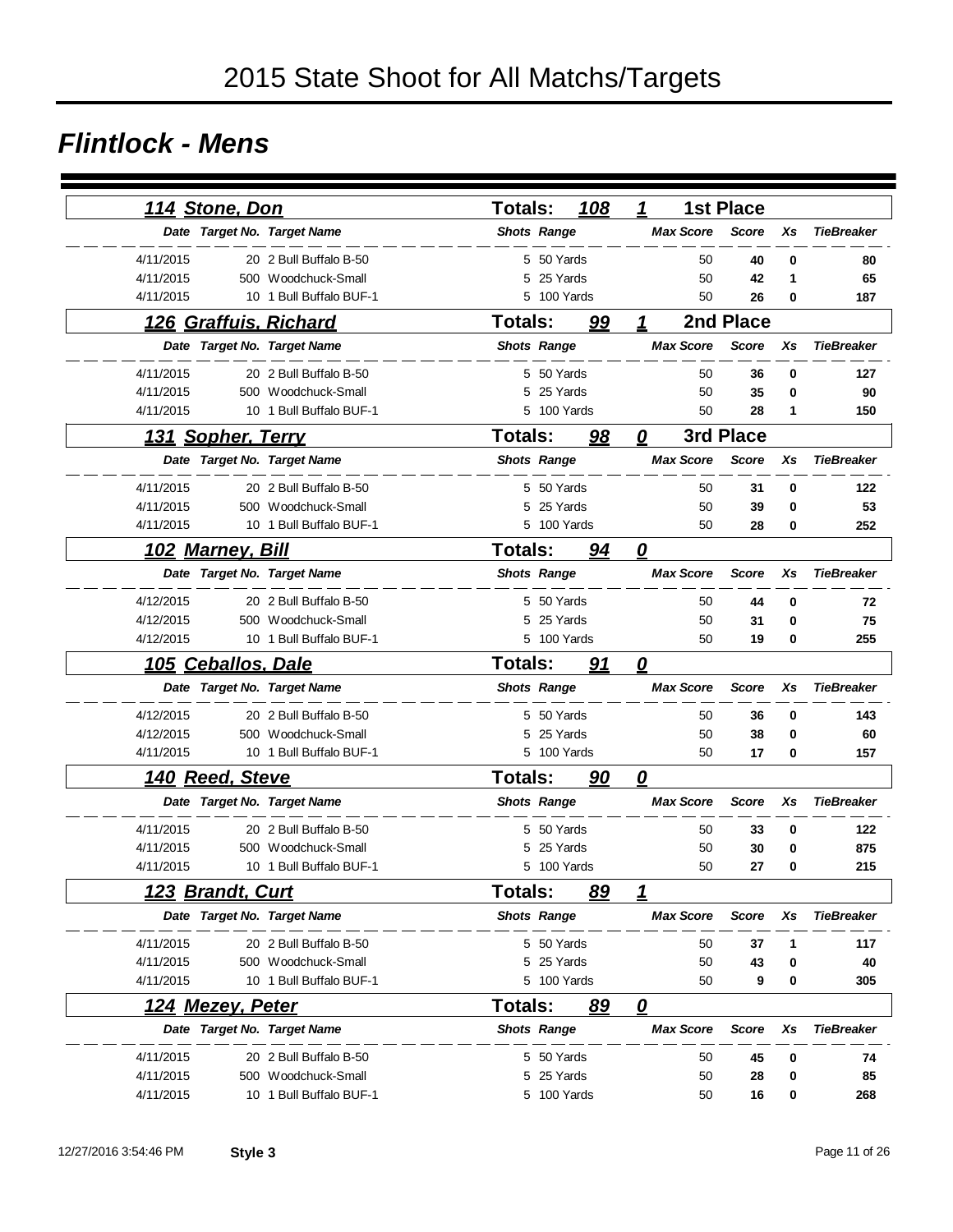#### *Flintlock - Mens*

| <u> 114 Stone, Don</u>       |                         | Totals:            |             | 108       | 1                                 | <b>1st Place</b> |    |                   |
|------------------------------|-------------------------|--------------------|-------------|-----------|-----------------------------------|------------------|----|-------------------|
| Date Target No. Target Name  |                         | <b>Shots Range</b> |             |           | <b>Max Score</b>                  | <b>Score</b>     | Xs | <b>TieBreaker</b> |
| 4/11/2015                    | 20 2 Bull Buffalo B-50  |                    | 5 50 Yards  |           | 50                                | 40               | 0  | 80                |
| 4/11/2015                    | 500 Woodchuck-Small     |                    | 5 25 Yards  |           | 50                                | 42               | 1  | 65                |
| 4/11/2015                    | 10 1 Bull Buffalo BUF-1 |                    | 5 100 Yards |           | 50                                | 26               | 0  | 187               |
| 126 Graffuis, Richard        |                         | <b>Totals:</b>     |             | <u>99</u> | 1                                 | 2nd Place        |    |                   |
| Date Target No. Target Name  |                         | <b>Shots Range</b> |             |           | <b>Max Score</b>                  | <b>Score</b>     | Xs | <b>TieBreaker</b> |
|                              |                         |                    |             |           |                                   |                  |    |                   |
| 4/11/2015                    | 20 2 Bull Buffalo B-50  |                    | 5 50 Yards  |           | 50                                | 36               | 0  | 127               |
| 4/11/2015                    | 500 Woodchuck-Small     | 5                  | 25 Yards    |           | 50                                | 35               | 0  | 90                |
| 4/11/2015                    | 10 1 Bull Buffalo BUF-1 |                    | 5 100 Yards |           | 50                                | 28               | 1  | 150               |
| 131 Sopher, Terry            |                         | <b>Totals:</b>     |             | 98        | 0                                 | 3rd Place        |    |                   |
| Date Target No. Target Name  |                         | <b>Shots Range</b> |             |           | <b>Max Score</b>                  | <b>Score</b>     | Xs | <b>TieBreaker</b> |
| 4/11/2015                    | 20 2 Bull Buffalo B-50  |                    | 5 50 Yards  |           | 50                                | 31               | 0  | 122               |
| 4/11/2015                    | 500 Woodchuck-Small     | 5                  | 25 Yards    |           | 50                                | 39               | 0  | 53                |
| 4/11/2015                    | 10 1 Bull Buffalo BUF-1 |                    | 5 100 Yards |           | 50                                | 28               | 0  | 252               |
| <u>102 Marney, Bill</u>      |                         | Totals:            |             | 94        | $\overline{\mathbf{0}}$           |                  |    |                   |
| Date Target No. Target Name  |                         | <b>Shots Range</b> |             |           | <b>Max Score</b>                  | <b>Score</b>     | Xs | <b>TieBreaker</b> |
| 4/12/2015                    | 20 2 Bull Buffalo B-50  |                    | 5 50 Yards  |           | 50                                | 44               | 0  | 72                |
| 4/12/2015                    | 500 Woodchuck-Small     |                    | 5 25 Yards  |           | 50                                | 31               | 0  | 75                |
| 4/12/2015                    | 10 1 Bull Buffalo BUF-1 |                    | 5 100 Yards |           | 50                                | 19               | 0  | 255               |
| <b>Ceballos, Dale</b><br>105 |                         | <b>Totals:</b>     |             | 91        | $\overline{\boldsymbol{\varrho}}$ |                  |    |                   |
| Date Target No. Target Name  |                         | <b>Shots Range</b> |             |           | <b>Max Score</b>                  | <b>Score</b>     | Xs | <b>TieBreaker</b> |
| 4/12/2015                    | 20 2 Bull Buffalo B-50  |                    | 5 50 Yards  |           | 50                                | 36               | 0  | 143               |
| 4/12/2015                    | 500 Woodchuck-Small     |                    | 5 25 Yards  |           | 50                                | 38               | 0  | 60                |
| 4/11/2015                    | 10 1 Bull Buffalo BUF-1 |                    | 5 100 Yards |           | 50                                | 17               | 0  | 157               |
| 140 Reed, Steve              |                         | <b>Totals:</b>     |             | 90        | 0                                 |                  |    |                   |
| Date Target No. Target Name  |                         | <b>Shots Range</b> |             |           | <b>Max Score</b>                  | <b>Score</b>     | Xs | <b>TieBreaker</b> |
| 4/11/2015                    | 20 2 Bull Buffalo B-50  |                    | 5 50 Yards  |           | 50                                | 33               | 0  | 122               |
| 4/11/2015                    | 500 Woodchuck-Small     | 5                  | 25 Yards    |           | 50                                | 30               | 0  | 875               |
| 4/11/2015                    | 10 1 Bull Buffalo BUF-1 |                    | 5 100 Yards |           | 50                                | 27               | 0  | 215               |
| 123 Brandt, Curt             |                         | Totals:            |             | 89        | 1                                 |                  |    |                   |
| Date Target No. Target Name  |                         | <b>Shots Range</b> |             |           | <b>Max Score</b>                  | <b>Score</b>     | Xs | <b>TieBreaker</b> |
| 4/11/2015                    | 20 2 Bull Buffalo B-50  |                    | 5 50 Yards  |           |                                   | 50<br>37         | 1  | 117               |
| 4/11/2015                    | 500 Woodchuck-Small     |                    | 5 25 Yards  |           |                                   | 50<br>43         | 0  | 40                |
| 4/11/2015                    | 10 1 Bull Buffalo BUF-1 |                    | 5 100 Yards |           |                                   | 50<br>9          | 0  | 305               |
| 124 Mezey, Peter             |                         | <b>Totals:</b>     |             | 89        | $\overline{\mathbf{0}}$           |                  |    |                   |
| Date Target No. Target Name  |                         | <b>Shots Range</b> |             |           | <b>Max Score</b>                  | <b>Score</b>     | Xs | <b>TieBreaker</b> |
| 4/11/2015                    | 20 2 Bull Buffalo B-50  |                    | 5 50 Yards  |           | 50                                | 45               | 0  | 74                |
| 4/11/2015                    | 500 Woodchuck-Small     | 5                  | 25 Yards    |           | 50                                | 28               | 0  | 85                |
| 4/11/2015                    | 10 1 Bull Buffalo BUF-1 |                    | 5 100 Yards |           |                                   | 50<br>16         | 0  | 268               |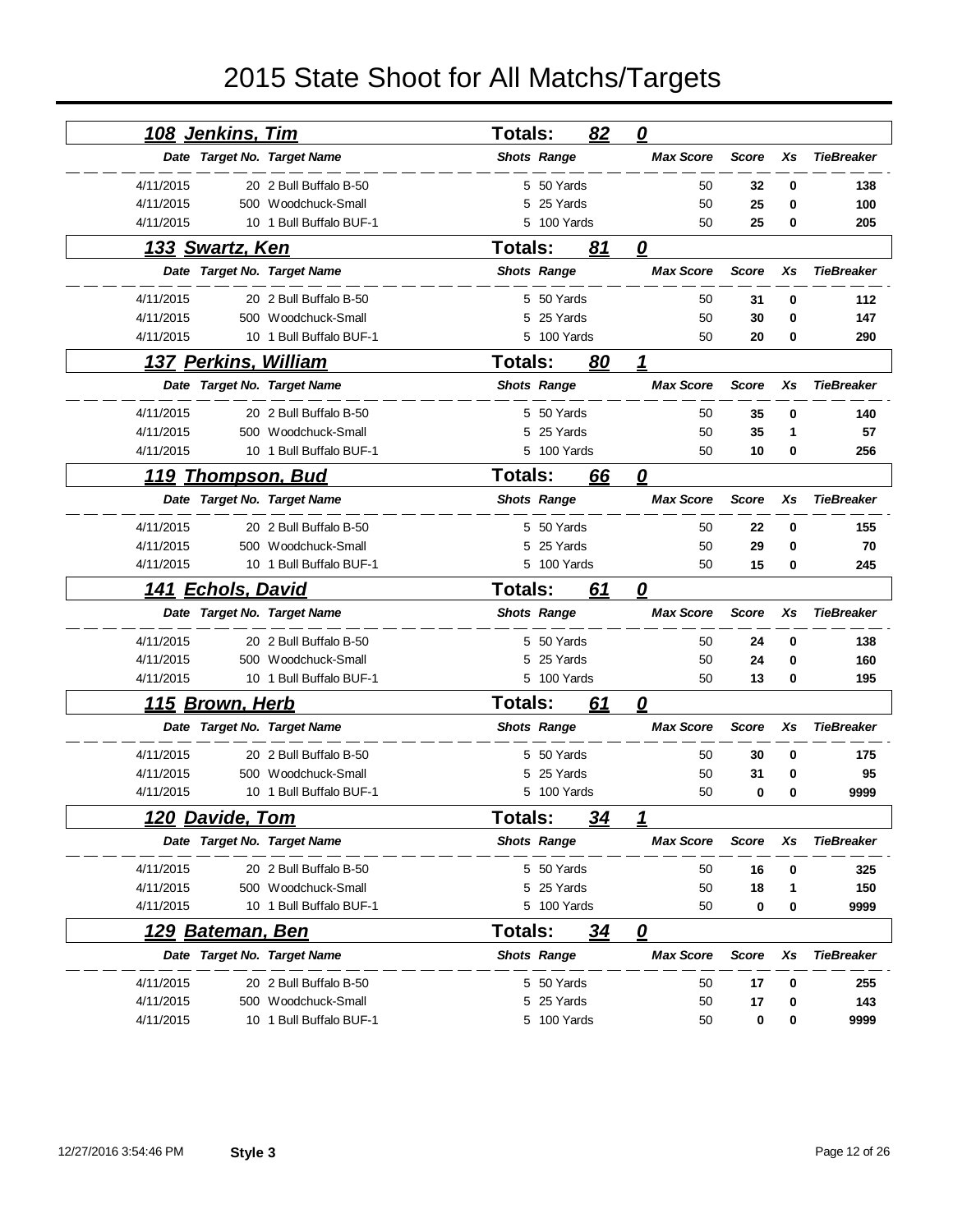| <u>108 Jenkins, Tim</u>           |                         | <b>Totals:</b> |                    | 82        | $\overline{\boldsymbol{\varrho}}$ |              |    |                   |
|-----------------------------------|-------------------------|----------------|--------------------|-----------|-----------------------------------|--------------|----|-------------------|
| Date Target No. Target Name       |                         |                | <b>Shots Range</b> |           | <b>Max Score</b>                  | <b>Score</b> | Xs | <b>TieBreaker</b> |
| 4/11/2015                         | 20 2 Bull Buffalo B-50  |                | 5 50 Yards         |           | 50                                | 32           | 0  | 138               |
| 4/11/2015                         | 500 Woodchuck-Small     | 5              | 25 Yards           |           | 50                                | 25           | 0  | 100               |
| 4/11/2015                         | 10 1 Bull Buffalo BUF-1 |                | 5 100 Yards        |           | 50                                | 25           | 0  | 205               |
| <u>133 Swartz, Ken</u>            |                         | <b>Totals:</b> |                    | 81        | 0                                 |              |    |                   |
| Date Target No. Target Name       |                         |                | <b>Shots Range</b> |           | <b>Max Score</b>                  | <b>Score</b> | Xs | <b>TieBreaker</b> |
| 4/11/2015                         | 20 2 Bull Buffalo B-50  |                | 5 50 Yards         |           | 50                                | 31           | 0  | 112               |
| 4/11/2015                         | 500 Woodchuck-Small     | 5              | 25 Yards           |           | 50                                | 30           | 0  | 147               |
| 4/11/2015                         | 10 1 Bull Buffalo BUF-1 |                | 5 100 Yards        |           | 50                                | 20           | 0  | 290               |
| <u>137 Perkins, William</u>       |                         | <b>Totals:</b> |                    | 80        | 1                                 |              |    |                   |
| Date Target No. Target Name       |                         |                | <b>Shots Range</b> |           | <b>Max Score</b>                  | <b>Score</b> | Xs | <b>TieBreaker</b> |
| 4/11/2015                         | 20 2 Bull Buffalo B-50  |                | 5 50 Yards         |           | 50                                | 35           | 0  | 140               |
| 4/11/2015                         | 500 Woodchuck-Small     | 5              | 25 Yards           |           | 50                                | 35           | 1  | 57                |
| 4/11/2015                         | 10 1 Bull Buffalo BUF-1 |                | 5 100 Yards        |           | 50                                | 10           | 0  | 256               |
| 119 Thompson, Bud                 |                         | <b>Totals:</b> |                    | 66        | 0                                 |              |    |                   |
| Date Target No. Target Name       |                         |                | <b>Shots Range</b> |           | <b>Max Score</b>                  | <b>Score</b> | Xs | <b>TieBreaker</b> |
| 4/11/2015                         | 20 2 Bull Buffalo B-50  |                | 5 50 Yards         |           | 50                                | 22           | 0  | 155               |
| 4/11/2015                         | 500 Woodchuck-Small     | 5              | 25 Yards           |           | 50                                | 29           | 0  | 70                |
| 4/11/2015                         | 10 1 Bull Buffalo BUF-1 |                | 5 100 Yards        |           | 50                                | 15           | 0  | 245               |
| <u>141 Echols, David</u>          |                         | Totals:        |                    | 61        | 0                                 |              |    |                   |
| Date Target No. Target Name       |                         |                | <b>Shots Range</b> |           | <b>Max Score</b>                  | <b>Score</b> | Xs | <b>TieBreaker</b> |
| 4/11/2015                         | 20 2 Bull Buffalo B-50  |                | 5 50 Yards         |           | 50                                | 24           | 0  | 138               |
| 4/11/2015                         | 500 Woodchuck-Small     | 5              | 25 Yards           |           | 50                                | 24           | 0  | 160               |
| 4/11/2015                         | 10 1 Bull Buffalo BUF-1 |                | 5 100 Yards        |           | 50                                | 13           | 0  | 195               |
| <u>Brown, Herb</u><br><u> 115</u> |                         | Totals:        |                    | 61        | $\boldsymbol{\varrho}$            |              |    |                   |
| Date Target No. Target Name       |                         |                | <b>Shots Range</b> |           | <b>Max Score</b>                  | <b>Score</b> | Xs | <b>TieBreaker</b> |
| 4/11/2015                         | 20 2 Bull Buffalo B-50  | 5              | 50 Yards           |           | 50                                | 30           | 0  | 175               |
| 4/11/2015<br>500                  | Woodchuck-Small         | 5              | 25 Yards           |           | 50                                | 31           | 0  | 95                |
| 4/11/2015                         | 10 1 Bull Buffalo BUF-1 |                | 5 100 Yards        |           | 50                                | 0            | 0  | 9999              |
| <u>120 Davide, Tom</u>            |                         | Totals:        |                    | 34        | 1                                 |              |    |                   |
| Date Target No. Target Name       |                         |                | <b>Shots Range</b> |           | <b>Max Score</b>                  | <b>Score</b> | Xs | <b>TieBreaker</b> |
| 4/11/2015                         | 20 2 Bull Buffalo B-50  |                | 5 50 Yards         |           | 50                                | 16           | 0  | 325               |
| 4/11/2015                         | 500 Woodchuck-Small     |                | 5 25 Yards         |           | 50                                | 18           | 1  | 150               |
| 4/11/2015                         | 10 1 Bull Buffalo BUF-1 |                | 5 100 Yards        |           | 50                                | 0            | 0  | 9999              |
| <u>129 Bateman, Ben</u>           |                         | Totals:        |                    | <u>34</u> | $\boldsymbol{\varrho}$            |              |    |                   |
| Date Target No. Target Name       |                         |                | <b>Shots Range</b> |           | <b>Max Score</b>                  | <b>Score</b> | Xs | <b>TieBreaker</b> |
| 4/11/2015                         | 20 2 Bull Buffalo B-50  |                | 5 50 Yards         |           | 50                                | 17           | 0  | 255               |
| 4/11/2015                         | 500 Woodchuck-Small     |                | 5 25 Yards         |           | 50                                | 17           | 0  | 143               |
| 4/11/2015                         | 10 1 Bull Buffalo BUF-1 |                | 5 100 Yards        |           | 50                                | 0            | 0  | 9999              |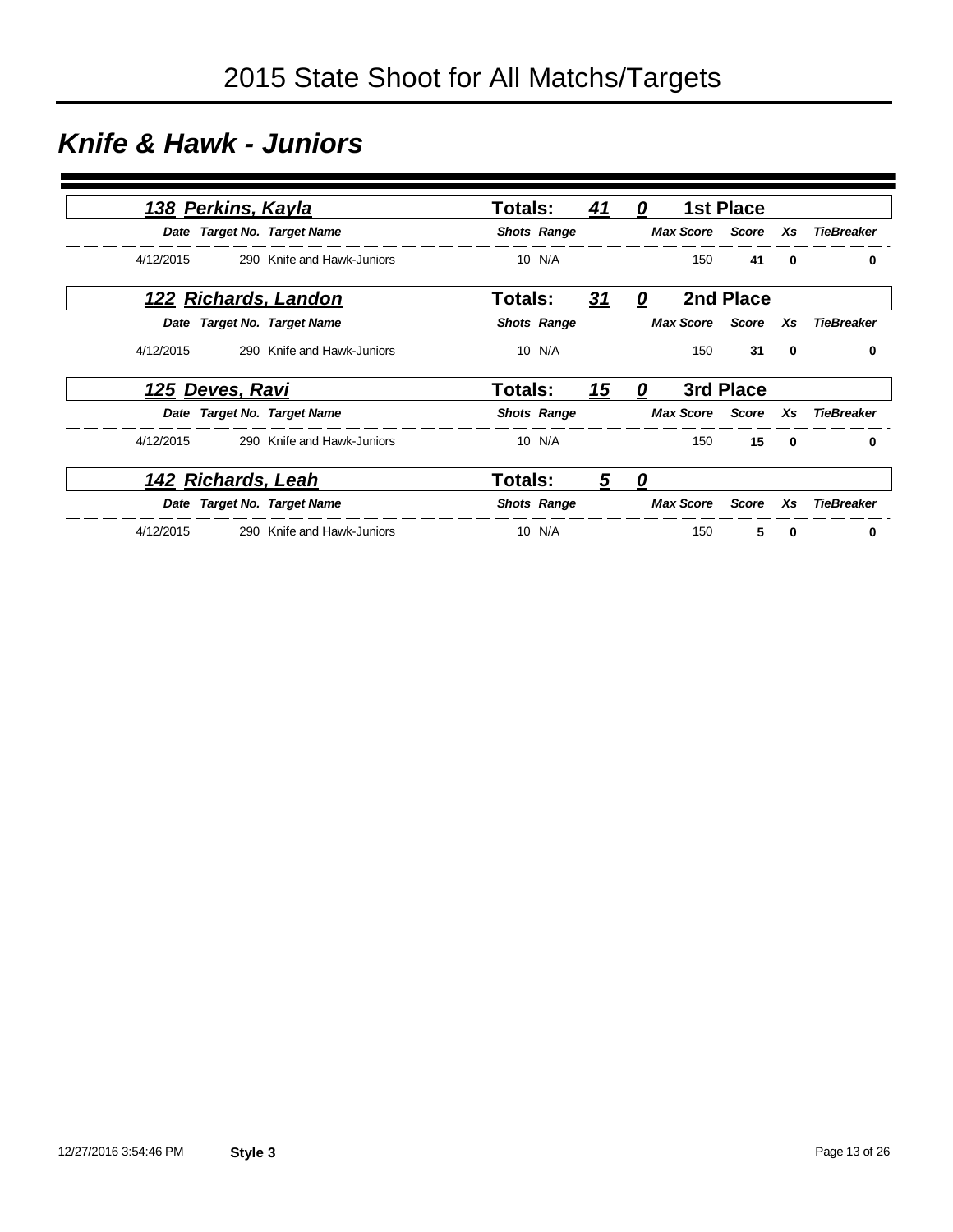### *Knife & Hawk - Juniors*

|           | 138 Perkins, Kayla |                             | <b>Totals:</b> |                    | <u>41</u> | 0 |                        | <b>1st Place</b> |              |                   |
|-----------|--------------------|-----------------------------|----------------|--------------------|-----------|---|------------------------|------------------|--------------|-------------------|
|           |                    | Date Target No. Target Name |                | <b>Shots Range</b> |           |   | <b>Max Score</b> Score |                  | Xs           | <b>TieBreaker</b> |
| 4/12/2015 |                    | 290 Knife and Hawk-Juniors  |                | 10 N/A             |           |   | 150                    | 41               | $\bf{0}$     | 0                 |
|           |                    | 122 Richards, Landon        | Totals:        |                    | 31        | 0 |                        | 2nd Place        |              |                   |
|           |                    | Date Target No. Target Name |                | <b>Shots Range</b> |           |   | <b>Max Score</b>       | Score            | Xs           | <b>TieBreaker</b> |
| 4/12/2015 |                    | 290 Knife and Hawk-Juniors  |                | 10 N/A             |           |   | 150                    | 31               | 0            | 0                 |
|           | 125 Deves, Ravi    |                             | Totals:        |                    | <u>15</u> | 0 |                        | 3rd Place        |              |                   |
|           |                    | Date Target No. Target Name |                | <b>Shots Range</b> |           |   | <b>Max Score</b> Score |                  | Xs           | <b>TieBreaker</b> |
| 4/12/2015 |                    | 290 Knife and Hawk-Juniors  |                | 10 N/A             |           |   | 150                    | 15               | $\mathbf{0}$ | 0                 |
|           | 142 Richards, Leah |                             | <b>Totals:</b> |                    | 5         | 0 |                        |                  |              |                   |
|           |                    | Date Target No. Target Name |                | <b>Shots Range</b> |           |   | <b>Max Score</b>       | Score            | Xs           | <b>TieBreaker</b> |
| 4/12/2015 |                    | 290 Knife and Hawk-Juniors  |                | 10 N/A             |           |   | 150                    | 5                | $\mathbf{0}$ | 0                 |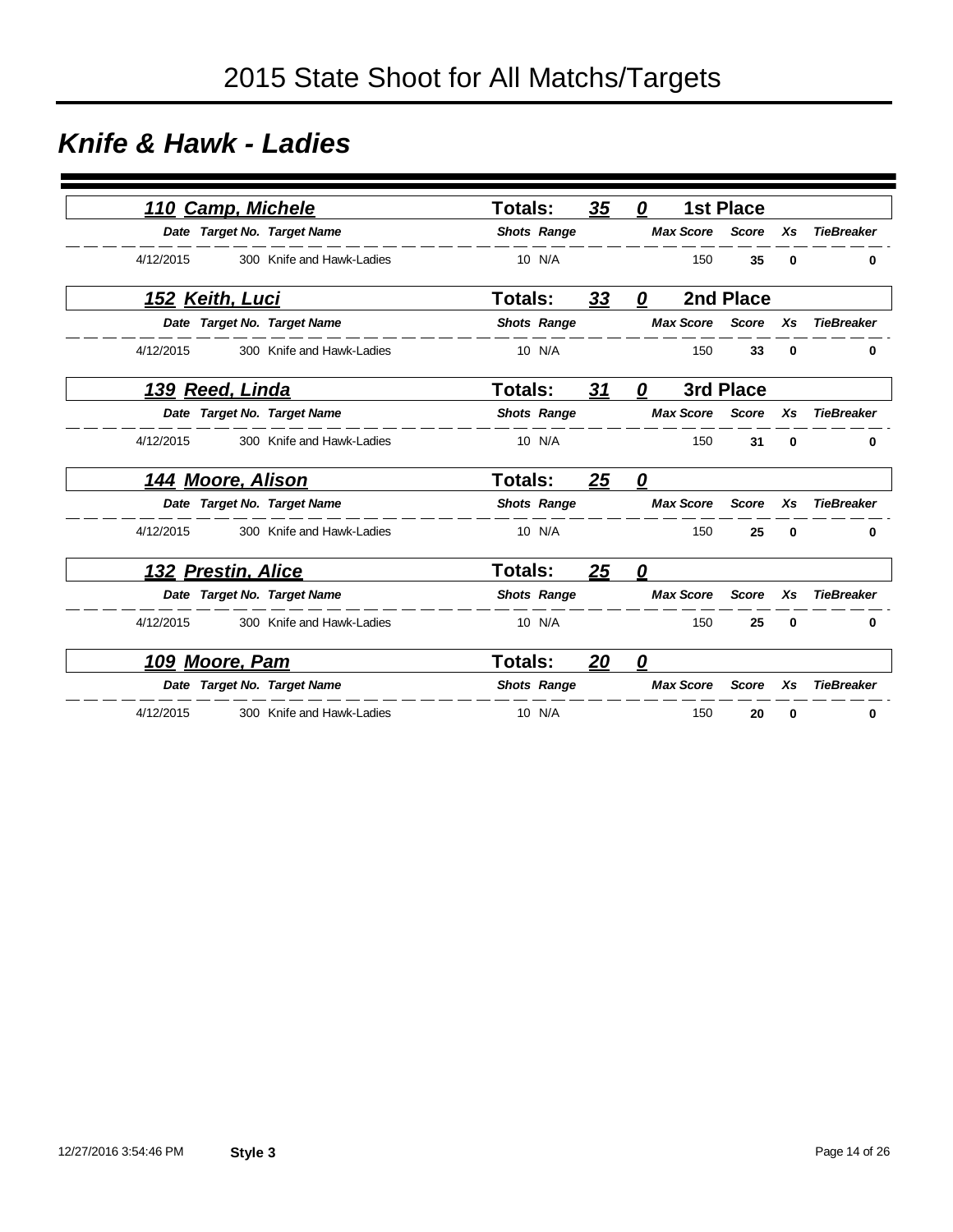#### *Knife & Hawk - Ladies*

| <b>Camp, Michele</b><br>110 |                           | <b>Totals:</b> |                    | 35        | 0                       |                  | <b>1st Place</b> |          |                   |
|-----------------------------|---------------------------|----------------|--------------------|-----------|-------------------------|------------------|------------------|----------|-------------------|
| Date Target No. Target Name |                           |                | <b>Shots Range</b> |           |                         | <b>Max Score</b> | <b>Score</b>     | Xs       | <b>TieBreaker</b> |
| 4/12/2015                   | 300 Knife and Hawk-Ladies |                | 10 N/A             |           |                         | 150              | 35               | 0        | $\bf{0}$          |
| <u>152 Keith, Luci</u>      |                           | <b>Totals:</b> |                    | 33        | 0                       |                  | 2nd Place        |          |                   |
| Date Target No. Target Name |                           |                | <b>Shots Range</b> |           |                         | <b>Max Score</b> | Score            | Xs       | <b>TieBreaker</b> |
| 4/12/2015                   | 300 Knife and Hawk-Ladies |                | 10 N/A             |           |                         | 150              | 33               | 0        | 0                 |
| 139 Reed, Linda             |                           | <b>Totals:</b> |                    | 31        | 0                       |                  | 3rd Place        |          |                   |
| Date Target No. Target Name |                           |                | <b>Shots Range</b> |           |                         | <b>Max Score</b> | <b>Score</b>     | Xs       | <b>TieBreaker</b> |
| 4/12/2015                   | 300 Knife and Hawk-Ladies |                | 10 N/A             |           |                         | 150              | 31               | 0        | 0                 |
| <u>144 Moore, Alison</u>    |                           | <b>Totals:</b> |                    | 25        | 0                       |                  |                  |          |                   |
| Date Target No. Target Name |                           |                | <b>Shots Range</b> |           |                         | <b>Max Score</b> | <b>Score</b>     | Xs       | <b>TieBreaker</b> |
| 4/12/2015                   | 300 Knife and Hawk-Ladies |                | 10 N/A             |           |                         | 150              | 25               | 0        | 0                 |
| 132 Prestin, Alice          |                           | <b>Totals:</b> |                    | <u>25</u> | 0                       |                  |                  |          |                   |
| Date Target No. Target Name |                           |                | <b>Shots Range</b> |           |                         | <b>Max Score</b> | <b>Score</b>     | Xs       | <b>TieBreaker</b> |
| 4/12/2015                   | 300 Knife and Hawk-Ladies |                | 10 N/A             |           |                         | 150              | 25               | $\bf{0}$ | $\bf{0}$          |
| <u>109 Moore, Pam</u>       |                           | Totals:        |                    | 20        | $\overline{\mathbf{0}}$ |                  |                  |          |                   |
| Date Target No. Target Name |                           |                | <b>Shots Range</b> |           |                         | <b>Max Score</b> | <b>Score</b>     | Xs       | <b>TieBreaker</b> |
| 4/12/2015                   | 300 Knife and Hawk-Ladies |                | 10 N/A             |           |                         | 150              | 20               | 0        | 0                 |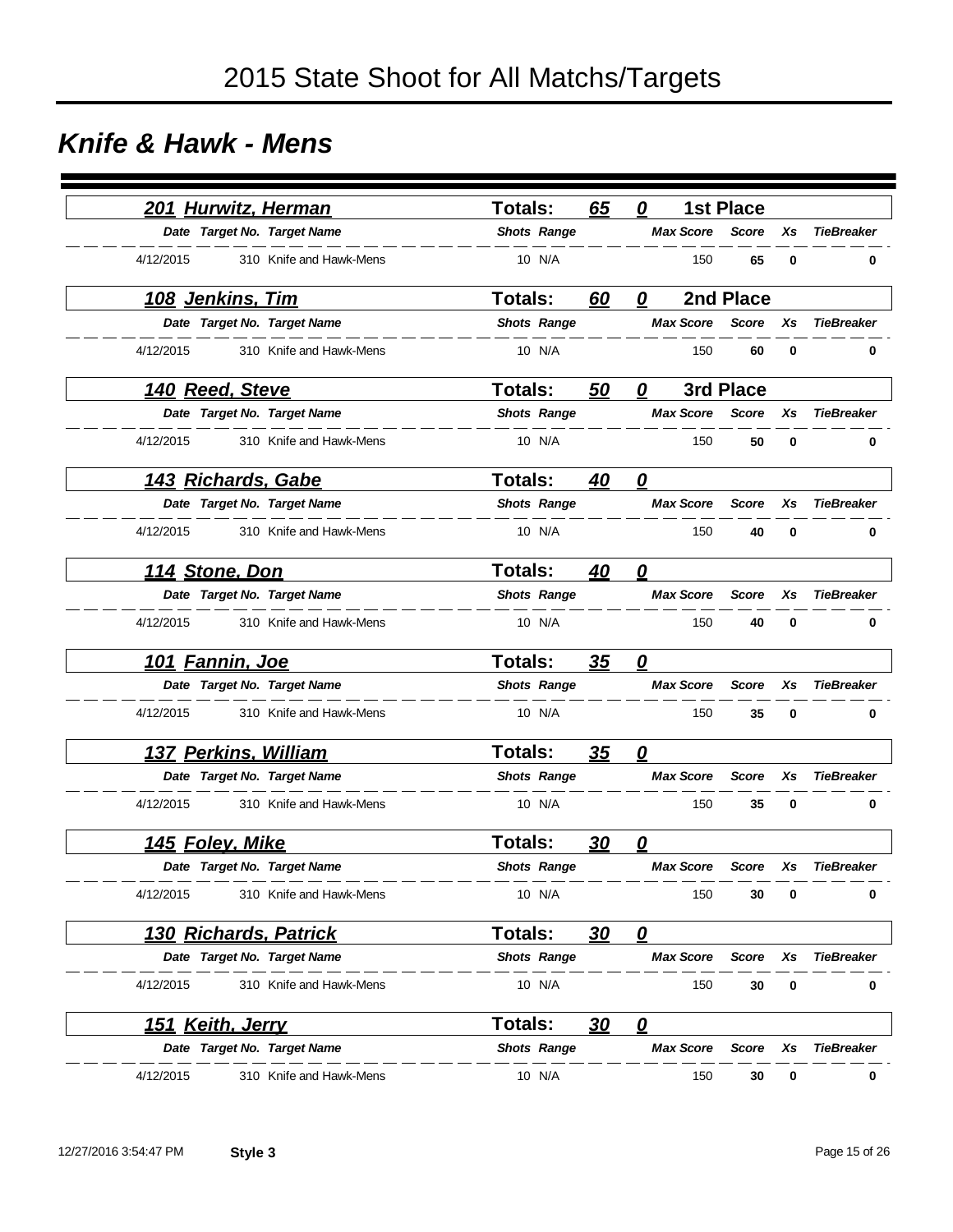#### *Knife & Hawk - Mens*

|           | 201 Hurwitz, Herman     |                              | <b>Totals:</b>     |                    | 65        | 0                                    |                  | <b>1st Place</b> |    |                   |
|-----------|-------------------------|------------------------------|--------------------|--------------------|-----------|--------------------------------------|------------------|------------------|----|-------------------|
|           |                         | Date Target No. Target Name  | <b>Shots Range</b> |                    |           |                                      | <b>Max Score</b> | <b>Score</b>     | Xs | <b>TieBreaker</b> |
| 4/12/2015 |                         | 310 Knife and Hawk-Mens      |                    | 10 N/A             |           |                                      | 150              | 65               | 0  | $\bf{0}$          |
|           | <u>108 Jenkins, Tim</u> |                              | <b>Totals:</b>     |                    | 60        | 0                                    |                  | 2nd Place        |    |                   |
|           |                         | Date Target No. Target Name  | <b>Shots Range</b> |                    |           |                                      | <b>Max Score</b> | <b>Score</b>     | Xs | <b>TieBreaker</b> |
| 4/12/2015 |                         | 310 Knife and Hawk-Mens      |                    | 10 N/A             |           |                                      | 150              | 60               | 0  | 0                 |
|           | <u>140 Reed, Steve</u>  |                              | <b>Totals:</b>     |                    | 50        | 0                                    |                  | 3rd Place        |    |                   |
|           |                         | Date Target No. Target Name  | <b>Shots Range</b> |                    |           |                                      | <b>Max Score</b> | Score            | Xs | <b>TieBreaker</b> |
| 4/12/2015 |                         | 310 Knife and Hawk-Mens      |                    | 10 N/A             |           |                                      | 150              | 50               | 0  | 0                 |
|           | 143 Richards, Gabe      |                              | <b>Totals:</b>     |                    | 40        | $\boldsymbol{\varrho}$               |                  |                  |    |                   |
|           |                         | Date Target No. Target Name  | <b>Shots Range</b> |                    |           |                                      | <b>Max Score</b> | <b>Score</b>     | Xs | <b>TieBreaker</b> |
| 4/12/2015 |                         | 310 Knife and Hawk-Mens      |                    | 10 N/A             |           |                                      | 150              | 40               | 0  | 0                 |
|           | 114 Stone, Don          |                              | Totals:            |                    | 40        | $\overline{\boldsymbol{\mathsf{0}}}$ |                  |                  |    |                   |
|           |                         | Date Target No. Target Name  | <b>Shots Range</b> |                    |           |                                      | <b>Max Score</b> | <b>Score</b>     | Xs | <b>TieBreaker</b> |
| 4/12/2015 |                         | 310 Knife and Hawk-Mens      |                    | 10 N/A             |           |                                      | 150              | 40               | 0  | 0                 |
|           | <u> 101 Fannin, Joe</u> |                              | <b>Totals:</b>     |                    | 35        | 0                                    |                  |                  |    |                   |
|           |                         | Date Target No. Target Name  | <b>Shots Range</b> |                    |           |                                      | <b>Max Score</b> | <b>Score</b>     | Xs | <b>TieBreaker</b> |
| 4/12/2015 |                         | 310 Knife and Hawk-Mens      |                    | 10 N/A             |           |                                      | 150              | 35               | 0  | 0                 |
|           | 137 Perkins, William    |                              | <b>Totals:</b>     |                    | 35        | $\overline{\boldsymbol{0}}$          |                  |                  |    |                   |
|           |                         | Date Target No. Target Name  |                    | <b>Shots Range</b> |           |                                      | <b>Max Score</b> | <b>Score</b>     | Xs | <b>TieBreaker</b> |
| 4/12/2015 |                         | 310 Knife and Hawk-Mens      |                    | 10 N/A             |           |                                      | 150              | 35               | 0  | 0                 |
|           | <u>145 Foley, Mike</u>  |                              | <b>Totals:</b>     |                    | <u>30</u> | 0                                    |                  |                  |    |                   |
|           |                         | Date Target No. Target Name  | <b>Shots Range</b> |                    |           |                                      | <b>Max Score</b> | Score            | Xs | <b>TieBreaker</b> |
| 4/12/2015 |                         | 310 Knife and Hawk-Mens      |                    | 10 N/A             |           |                                      | 150              | 30               | 0  | 0                 |
|           |                         | <u>130 Richards, Patrick</u> | <b>Totals:</b>     |                    | <u>30</u> | $\mathbf{\Omega}$                    |                  |                  |    |                   |
|           |                         | Date Target No. Target Name  | <b>Shots Range</b> |                    |           |                                      | <b>Max Score</b> | <b>Score</b>     | Xs | <b>TieBreaker</b> |
| 4/12/2015 |                         | 310 Knife and Hawk-Mens      |                    | 10 N/A             |           |                                      | 150              | 30               | 0  | 0                 |
|           | <u>151 Keith, Jerry</u> |                              | <b>Totals:</b>     |                    | <u>30</u> | $\overline{\mathbf{0}}$              |                  |                  |    |                   |
|           |                         | Date Target No. Target Name  |                    | <b>Shots Range</b> |           |                                      | <b>Max Score</b> | <b>Score</b>     | Xs | <b>TieBreaker</b> |
| 4/12/2015 |                         | 310 Knife and Hawk-Mens      |                    | 10 N/A             |           |                                      | 150              | 30               | 0  | 0                 |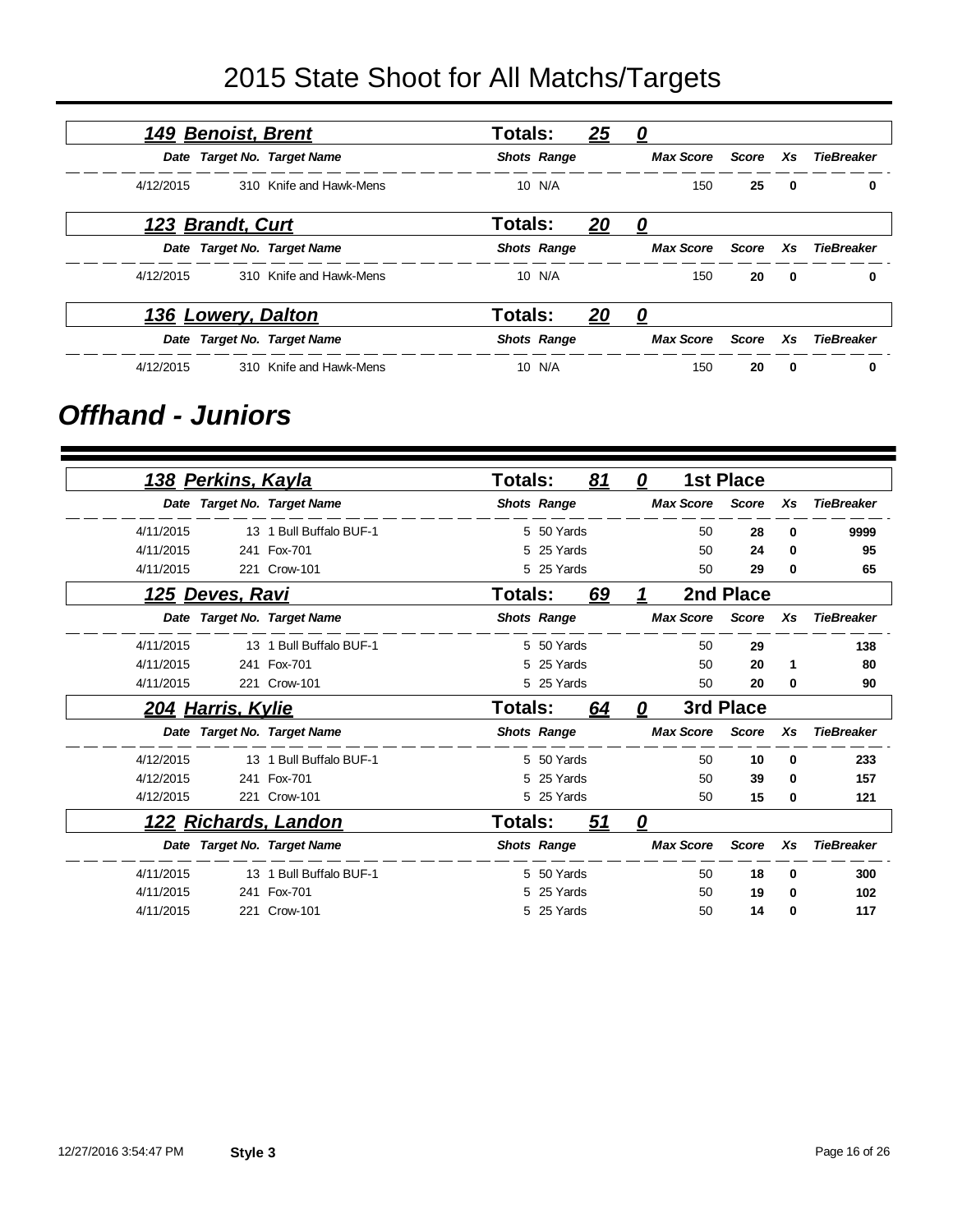|           | <u> 149 Benoist, Brent</u> |                             | <b>Totals:</b> |                    | <u> 25</u> | <u>0</u>         |       |                         |                   |
|-----------|----------------------------|-----------------------------|----------------|--------------------|------------|------------------|-------|-------------------------|-------------------|
|           |                            | Date Target No. Target Name |                | <b>Shots Range</b> |            | <b>Max Score</b> | Score | Xs                      | <b>TieBreaker</b> |
| 4/12/2015 |                            | 310 Knife and Hawk-Mens     |                | 10 N/A             |            | 150              | 25    | $\overline{\mathbf{0}}$ | 0                 |
|           | 123 Brandt, Curt           |                             | Totals:        |                    | <u>20</u>  | <u>0</u>         |       |                         |                   |
|           |                            | Date Target No. Target Name |                | <b>Shots Range</b> |            | Max Score        | Score | <b>Xs</b>               | <b>TieBreaker</b> |
| 4/12/2015 |                            | 310 Knife and Hawk-Mens     |                | 10 N/A             |            | 150              | 20    | $\mathbf{0}$            | 0                 |
|           | <u>136 Lowery, Dalton</u>  |                             | <b>Totals:</b> |                    | <u> 20</u> | 0                |       |                         |                   |
|           |                            | Date Target No. Target Name |                | <b>Shots Range</b> |            | <b>Max Score</b> | Score | Xs.                     | <b>TieBreaker</b> |
| 4/12/2015 |                            | 310 Knife and Hawk-Mens     |                | 10 N/A             |            | 150              | 20    | $\mathbf{0}$            | 0                 |

#### *Offhand - Juniors*

|           | <u>138 Perkins, Kayla</u> |                             | <b>Totals:</b> |                    | 81        | 0 |                  | <b>1st Place</b> |    |                   |
|-----------|---------------------------|-----------------------------|----------------|--------------------|-----------|---|------------------|------------------|----|-------------------|
|           |                           | Date Target No. Target Name |                | <b>Shots Range</b> |           |   | <b>Max Score</b> | <b>Score</b>     | Xs | <b>TieBreaker</b> |
| 4/11/2015 |                           | 13 1 Bull Buffalo BUF-1     |                | 5 50 Yards         |           |   | 50               | 28               | 0  | 9999              |
| 4/11/2015 |                           | 241 Fox-701                 |                | 5 25 Yards         |           |   | 50               | 24               | 0  | 95                |
| 4/11/2015 |                           | 221 Crow-101                |                | 5 25 Yards         |           |   | 50               | 29               | 0  | 65                |
|           | <u>125 Deves, Ravi</u>    |                             | Totals:        |                    | <u>69</u> |   |                  | 2nd Place        |    |                   |
|           |                           | Date Target No. Target Name |                | <b>Shots Range</b> |           |   | <b>Max Score</b> | <b>Score</b>     | Xs | <b>TieBreaker</b> |
| 4/11/2015 |                           | 13 1 Bull Buffalo BUF-1     |                | 5 50 Yards         |           |   | 50               | 29               |    | 138               |
| 4/11/2015 |                           | 241 Fox-701                 |                | 5 25 Yards         |           |   | 50               | 20               | 1  | 80                |
| 4/11/2015 |                           | 221 Crow-101                |                | 5 25 Yards         |           |   | 50               | 20               | 0  | 90                |
|           | 204 Harris, Kylie         |                             | <b>Totals:</b> |                    | 64        | 0 |                  | 3rd Place        |    |                   |
|           |                           | Date Target No. Target Name |                | <b>Shots Range</b> |           |   | <b>Max Score</b> | <b>Score</b>     | Xs | <b>TieBreaker</b> |
| 4/12/2015 |                           | 13 1 Bull Buffalo BUF-1     |                | 5 50 Yards         |           |   | 50               | 10               | 0  | 233               |
| 4/12/2015 |                           | 241 Fox-701                 |                | 5 25 Yards         |           |   | 50               | 39               | 0  | 157               |
| 4/12/2015 |                           | 221 Crow-101                |                | 5 25 Yards         |           |   | 50               | 15               | 0  | 121               |
|           |                           | <u>122 Richards, Landon</u> | Totals:        |                    | 51        | 0 |                  |                  |    |                   |
|           |                           | Date Target No. Target Name |                | <b>Shots Range</b> |           |   | <b>Max Score</b> | <b>Score</b>     | Xs | <b>TieBreaker</b> |
| 4/11/2015 |                           | 13 1 Bull Buffalo BUF-1     |                | 5 50 Yards         |           |   | 50               | 18               | 0  | 300               |
| 4/11/2015 |                           | 241 Fox-701                 | 5              | 25 Yards           |           |   | 50               | 19               | 0  | 102               |
| 4/11/2015 |                           | 221 Crow-101                |                | 5 25 Yards         |           |   | 50               | 14               | 0  | 117               |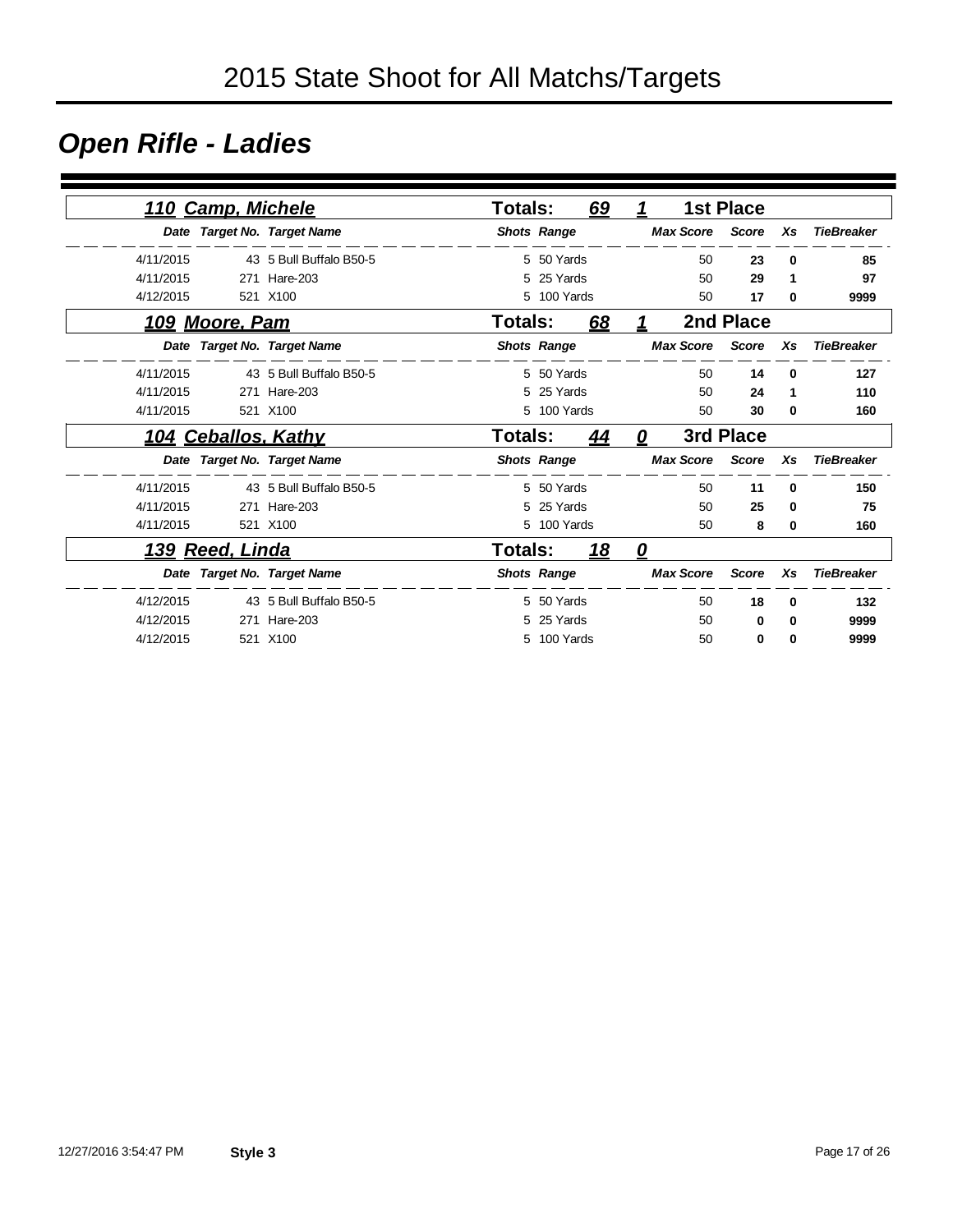### *Open Rifle - Ladies*

|           | 110 Camp, Michele          |                             | <b>Totals:</b>     |             | 69         | 1                 |                  | <b>1st Place</b> |          |                   |
|-----------|----------------------------|-----------------------------|--------------------|-------------|------------|-------------------|------------------|------------------|----------|-------------------|
|           |                            |                             |                    |             |            |                   |                  |                  |          |                   |
|           |                            | Date Target No. Target Name | <b>Shots Range</b> |             |            |                   | <b>Max Score</b> | <b>Score</b>     | Xs       | <b>TieBreaker</b> |
| 4/11/2015 |                            | 43 5 Bull Buffalo B50-5     |                    | 5 50 Yards  |            |                   | 50               | 23               | $\bf{0}$ | 85                |
| 4/11/2015 | 271                        | Hare-203                    | 5                  | 25 Yards    |            |                   | 50               | 29               | 1        | 97                |
| 4/12/2015 |                            | 521 X100                    |                    | 5 100 Yards |            |                   | 50               | 17               | 0        | 9999              |
|           | 109 Moore, Pam             |                             | Totals:            |             | 68         | 1                 |                  | 2nd Place        |          |                   |
|           |                            | Date Target No. Target Name | <b>Shots Range</b> |             |            |                   | <b>Max Score</b> | <b>Score</b>     | Xs       | <b>TieBreaker</b> |
| 4/11/2015 |                            | 43 5 Bull Buffalo B50-5     |                    | 5 50 Yards  |            |                   | 50               | 14               | $\bf{0}$ | 127               |
| 4/11/2015 |                            | 271 Hare-203                | 5                  | 25 Yards    |            |                   | 50               | 24               | 1        | 110               |
| 4/11/2015 |                            | 521 X100                    |                    | 5 100 Yards |            |                   | 50               | 30               | 0        | 160               |
|           | <u>104 Ceballos, Kathy</u> |                             | Totals:            |             | 44         | 0                 |                  | 3rd Place        |          |                   |
|           |                            | Date Target No. Target Name | <b>Shots Range</b> |             |            |                   | <b>Max Score</b> | <b>Score</b>     | Xs       | <b>TieBreaker</b> |
| 4/11/2015 |                            | 43 5 Bull Buffalo B50-5     |                    | 5 50 Yards  |            |                   | 50               | 11               | 0        | 150               |
| 4/11/2015 | 271                        | Hare-203                    |                    | 5 25 Yards  |            |                   | 50               | 25               | 0        | 75                |
| 4/11/2015 |                            | 521 X100                    |                    | 5 100 Yards |            |                   | 50               | 8                | 0        | 160               |
|           | <u>139 Reed, Linda</u>     |                             | Totals:            |             | <u> 18</u> | $\mathbf{\Omega}$ |                  |                  |          |                   |
|           |                            | Date Target No. Target Name | <b>Shots Range</b> |             |            |                   | <b>Max Score</b> | <b>Score</b>     | Xs       | <b>TieBreaker</b> |
| 4/12/2015 |                            | 43 5 Bull Buffalo B50-5     |                    | 5 50 Yards  |            |                   | 50               | 18               | 0        | 132               |
| 4/12/2015 | 271                        | Hare-203                    | 5                  | 25 Yards    |            |                   | 50               | 0                | 0        | 9999              |
| 4/12/2015 |                            | 521 X100                    |                    | 5 100 Yards |            |                   | 50               | 0                | 0        | 9999              |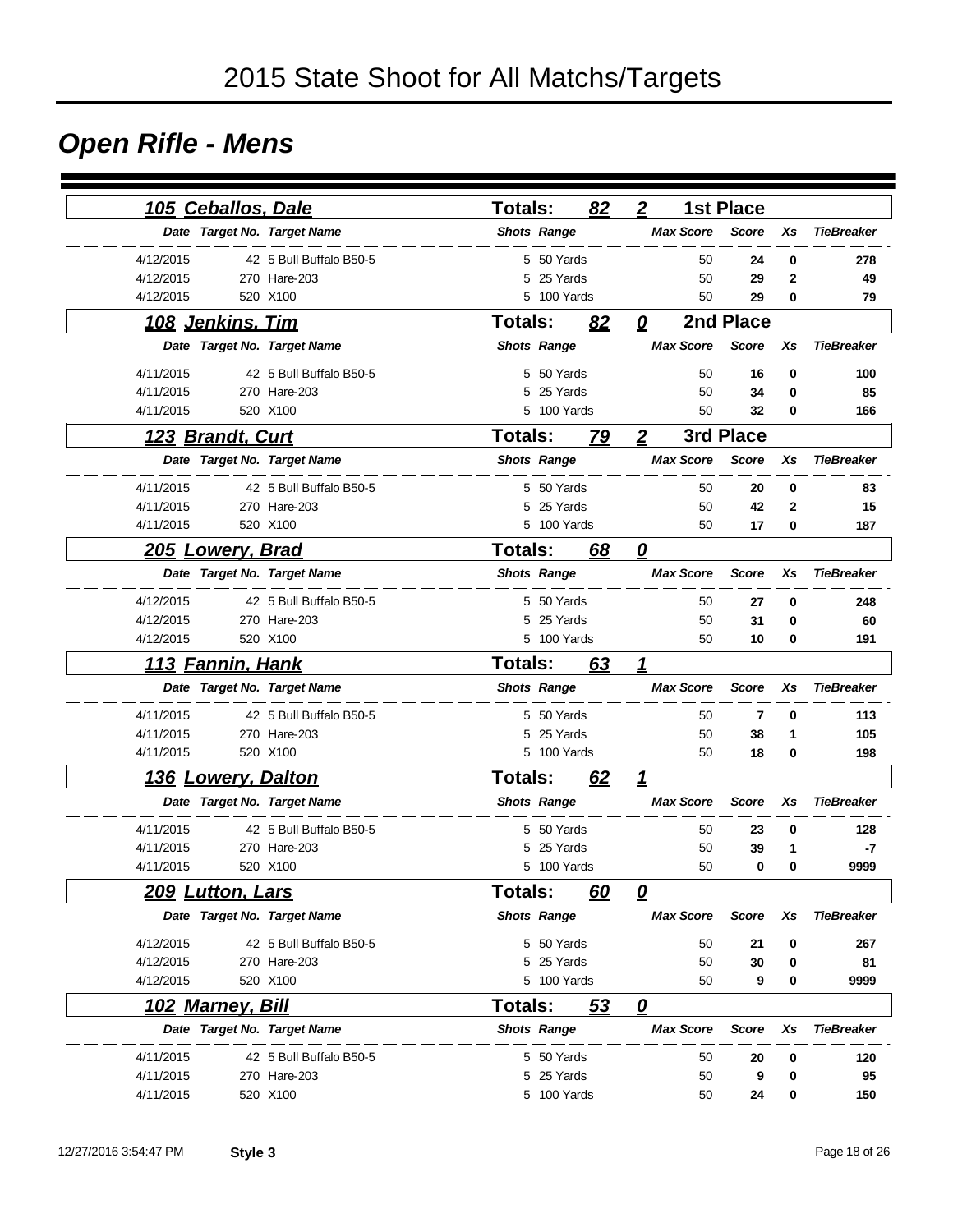### *Open Rifle - Mens*

| <u>105 Ceballos, Dale</u> |                             | Totals:        |                    | 82 | $\boldsymbol{2}$        | <b>1st Place</b> |                |                   |
|---------------------------|-----------------------------|----------------|--------------------|----|-------------------------|------------------|----------------|-------------------|
|                           | Date Target No. Target Name |                | <b>Shots Range</b> |    | <b>Max Score</b>        | <b>Score</b>     | Xs             | <b>TieBreaker</b> |
| 4/12/2015                 | 42 5 Bull Buffalo B50-5     |                | 5 50 Yards         |    | 50                      | 24               | 0              | 278               |
| 4/12/2015                 | 270 Hare-203                |                | 5 25 Yards         |    | 50                      | 29               | $\overline{2}$ | 49                |
| 4/12/2015                 | 520 X100                    |                | 5 100 Yards        |    | 50                      | 29               | $\bf{0}$       | 79                |
| 108 Jenkins, Tim          |                             | Totals:        |                    | 82 | 0                       | 2nd Place        |                |                   |
|                           | Date Target No. Target Name |                | <b>Shots Range</b> |    | <b>Max Score</b>        | <b>Score</b>     | Xs             | <b>TieBreaker</b> |
| 4/11/2015                 | 42 5 Bull Buffalo B50-5     |                | 5 50 Yards         |    | 50                      | 16               | $\mathbf 0$    | 100               |
| 4/11/2015                 | 270 Hare-203                | 5              | 25 Yards           |    | 50                      | 34               | $\mathbf 0$    | 85                |
| 4/11/2015                 | 520 X100                    |                | 5 100 Yards        |    | 50                      | 32               | $\bf{0}$       | 166               |
| 123 Brandt, Curt          |                             | <b>Totals:</b> |                    | 79 | $\boldsymbol{2}$        | 3rd Place        |                |                   |
|                           | Date Target No. Target Name |                | <b>Shots Range</b> |    | <b>Max Score</b>        | <b>Score</b>     | Xs             | <b>TieBreaker</b> |
| 4/11/2015                 | 42 5 Bull Buffalo B50-5     |                | 5 50 Yards         |    | 50                      | 20               | 0              | 83                |
| 4/11/2015                 | 270 Hare-203                | 5              | 25 Yards           |    | 50                      | 42               | 2              | 15                |
| 4/11/2015                 | 520 X100                    |                | 5 100 Yards        |    | 50                      | 17               | $\bf{0}$       | 187               |
| <u> 205 Lowery, Brad</u>  |                             | <b>Totals:</b> |                    | 68 | $\boldsymbol{\varrho}$  |                  |                |                   |
|                           | Date Target No. Target Name |                | <b>Shots Range</b> |    | <b>Max Score</b>        | <b>Score</b>     | Xs             | <b>TieBreaker</b> |
| 4/12/2015                 | 42 5 Bull Buffalo B50-5     |                | 5 50 Yards         |    | 50                      | 27               | 0              | 248               |
| 4/12/2015                 | 270 Hare-203                |                | 5 25 Yards         |    | 50                      | 31               | 0              | 60                |
| 4/12/2015                 | 520 X100                    |                | 5 100 Yards        |    | 50                      | 10               | 0              | 191               |
| <u> 113</u>               | <u>Fannin, Hank</u>         | <b>Totals:</b> |                    | 63 | 1                       |                  |                |                   |
|                           | Date Target No. Target Name |                | <b>Shots Range</b> |    | <b>Max Score</b>        | <b>Score</b>     | Xs             | <b>TieBreaker</b> |
| 4/11/2015                 | 42 5 Bull Buffalo B50-5     |                | 5 50 Yards         |    | 50                      | 7                | 0              | 113               |
| 4/11/2015                 | 270 Hare-203                |                | 5 25 Yards         |    | 50                      | 38               | 1              | 105               |
| 4/11/2015                 | 520 X100                    |                | 5 100 Yards        |    | 50                      | 18               | 0              | 198               |
| <b>136 Lowery, Dalton</b> |                             | <b>Totals:</b> |                    | 62 | 1                       |                  |                |                   |
|                           | Date Target No. Target Name |                | <b>Shots Range</b> |    | <b>Max Score</b>        | <b>Score</b>     | Xs             | <b>TieBreaker</b> |
| 4/11/2015                 | 42 5 Bull Buffalo B50-5     |                | 5 50 Yards         |    | 50                      | 23               | 0              | 128               |
| 4/11/2015                 | 270 Hare-203                | 5              | 25 Yards           |    | 50                      | 39               | 1              | -7                |
| 4/11/2015                 | 520 X100                    |                | 5 100 Yards        |    | 50                      | 0                | 0              | 9999              |
| 209 Lutton, Lars          |                             | <b>Totals:</b> |                    | 60 | 0                       |                  |                |                   |
|                           | Date Target No. Target Name |                | <b>Shots Range</b> |    | <b>Max Score</b>        | <b>Score</b>     | Xs             | <b>TieBreaker</b> |
| 4/12/2015                 | 42 5 Bull Buffalo B50-5     |                | 5 50 Yards         |    | 50                      | 21               | 0              | 267               |
| 4/12/2015                 | 270 Hare-203                |                | 5 25 Yards         |    | 50                      | 30               | 0              | 81                |
| 4/12/2015                 | 520 X100                    |                | 5 100 Yards        |    | 50                      | 9                | 0              | 9999              |
| 102 Marney, Bill          |                             | Totals:        |                    | 53 | $\overline{\mathbf{0}}$ |                  |                |                   |
|                           | Date Target No. Target Name |                | <b>Shots Range</b> |    | <b>Max Score</b>        | <b>Score</b>     | Xs             | <b>TieBreaker</b> |
| 4/11/2015                 | 42 5 Bull Buffalo B50-5     |                | 5 50 Yards         |    | 50                      | 20               | 0              | 120               |
| 4/11/2015                 | 270 Hare-203                |                | 5 25 Yards         |    | 50                      | 9                | 0              | 95                |
| 4/11/2015                 | 520 X100                    |                | 5 100 Yards        |    | 50                      | 24               | 0              | 150               |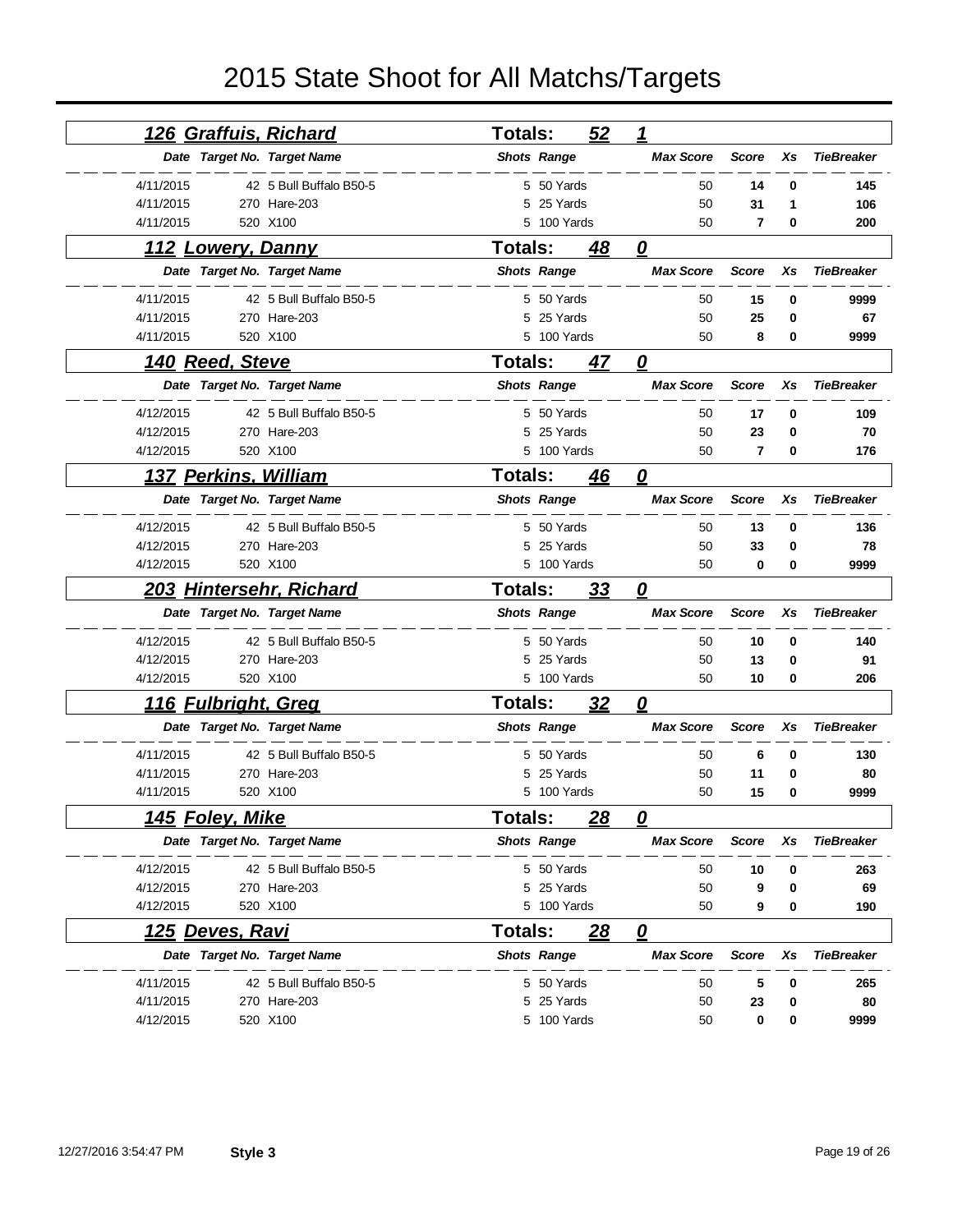| <u>126 Graffuis, Richard</u> |                         | <b>Totals:</b> |                    | 52         | 1                       |              |    |                   |
|------------------------------|-------------------------|----------------|--------------------|------------|-------------------------|--------------|----|-------------------|
| Date Target No. Target Name  |                         |                | <b>Shots Range</b> |            | <b>Max Score</b>        | <b>Score</b> | Xs | <b>TieBreaker</b> |
| 4/11/2015                    | 42 5 Bull Buffalo B50-5 |                | 5 50 Yards         |            | 50                      | 14           | 0  | 145               |
| 4/11/2015                    | 270 Hare-203            |                | 5 25 Yards         |            | 50                      | 31           | 1  | 106               |
| 4/11/2015                    | 520 X100                |                | 5 100 Yards        |            | 50                      | 7            | 0  | 200               |
| 112 Lowery, Danny            |                         | <b>Totals:</b> |                    | 48         | 0                       |              |    |                   |
| Date Target No. Target Name  |                         |                | <b>Shots Range</b> |            | <b>Max Score</b>        | <b>Score</b> | Xs | <b>TieBreaker</b> |
| 4/11/2015                    | 42 5 Bull Buffalo B50-5 |                | 5 50 Yards         |            | 50                      | 15           | 0  | 9999              |
| 4/11/2015                    | 270 Hare-203            |                | 5 25 Yards         |            | 50                      | 25           | 0  | 67                |
| 4/11/2015                    | 520 X100                |                | 5 100 Yards        |            | 50                      | 8            | 0  | 9999              |
| 140 Reed, Steve              |                         | <b>Totals:</b> |                    | 47         | $\boldsymbol{\varrho}$  |              |    |                   |
| Date Target No. Target Name  |                         |                | <b>Shots Range</b> |            | <b>Max Score</b>        | <b>Score</b> | Xs | <b>TieBreaker</b> |
| 4/12/2015                    | 42 5 Bull Buffalo B50-5 |                | 5 50 Yards         |            | 50                      | 17           | 0  | 109               |
| 4/12/2015                    | 270 Hare-203            |                | 5 25 Yards         |            | 50                      | 23           | 0  | 70                |
| 4/12/2015                    | 520 X100                |                | 5 100 Yards        |            | 50                      | 7            | 0  | 176               |
| 137 Perkins, William         |                         | <b>Totals:</b> |                    | 46         | 0                       |              |    |                   |
| Date Target No. Target Name  |                         |                | <b>Shots Range</b> |            | <b>Max Score</b>        | <b>Score</b> | Xs | <b>TieBreaker</b> |
| 4/12/2015                    | 42 5 Bull Buffalo B50-5 |                | 5 50 Yards         |            | 50                      | 13           | 0  | 136               |
| 4/12/2015                    | 270 Hare-203            | 5              | 25 Yards           |            | 50                      | 33           | 0  | 78                |
| 4/12/2015                    | 520 X100                |                | 5 100 Yards        |            | 50                      | 0            | 0  | 9999              |
|                              |                         |                |                    |            |                         |              |    |                   |
| 203 Hintersehr, Richard      |                         | Totals:        |                    | 33         | 0                       |              |    |                   |
| Date Target No. Target Name  |                         |                | <b>Shots Range</b> |            | <b>Max Score</b>        | <b>Score</b> | Xs | <b>TieBreaker</b> |
| 4/12/2015                    | 42 5 Bull Buffalo B50-5 |                | 5 50 Yards         |            | 50                      | 10           | 0  | 140               |
| 4/12/2015                    | 270 Hare-203            | 5              | 25 Yards           |            | 50                      | 13           | 0  | 91                |
| 4/12/2015                    | 520 X100                |                | 5 100 Yards        |            | 50                      | 10           | 0  | 206               |
| <u> 116 Fulbright, Greg</u>  |                         | Totals:        |                    | <u>32</u>  | $\boldsymbol{\varrho}$  |              |    |                   |
| Date Target No. Target Name  |                         |                | <b>Shots Range</b> |            | <b>Max Score</b>        | <b>Score</b> | Xs | <b>TieBreaker</b> |
| 4/11/2015                    | 42 5 Bull Buffalo B50-5 | 5              | 50 Yards           |            | 50                      | 6            | 0  | 130               |
| 4/11/2015                    | 270 Hare-203            | 5              | 25 Yards           |            | 50                      | 11           | 0  | 80                |
| 4/11/2015                    | 520 X100                |                | 5 100 Yards        |            | 50                      | 15           | 0  | 9999              |
| <u>145 Foley, Mike</u>       |                         | Totals:        |                    | <u> 28</u> | 0                       |              |    |                   |
| Date Target No. Target Name  |                         |                | <b>Shots Range</b> |            | <b>Max Score</b>        | <b>Score</b> | Xs | <b>TieBreaker</b> |
| 4/12/2015                    | 42 5 Bull Buffalo B50-5 |                | 5 50 Yards         |            | 50                      | 10           | 0  | 263               |
| 4/12/2015                    | 270 Hare-203            |                | 5 25 Yards         |            | 50                      | 9            | 0  | 69                |
| 4/12/2015                    | 520 X100                |                | 5 100 Yards        |            | 50                      | 9            | 0  | 190               |
| <u>125 Deves, Ravi</u>       |                         | Totals:        |                    | <u> 28</u> | $\overline{\mathbf{0}}$ |              |    |                   |
| Date Target No. Target Name  |                         |                | <b>Shots Range</b> |            | <b>Max Score</b>        | <b>Score</b> | Xs | <b>TieBreaker</b> |
| 4/11/2015                    | 42 5 Bull Buffalo B50-5 |                | 5 50 Yards         |            | 50                      | 5            | 0  | 265               |
| 4/11/2015                    | 270 Hare-203            |                | 5 25 Yards         |            | 50                      | 23           | 0  | 80                |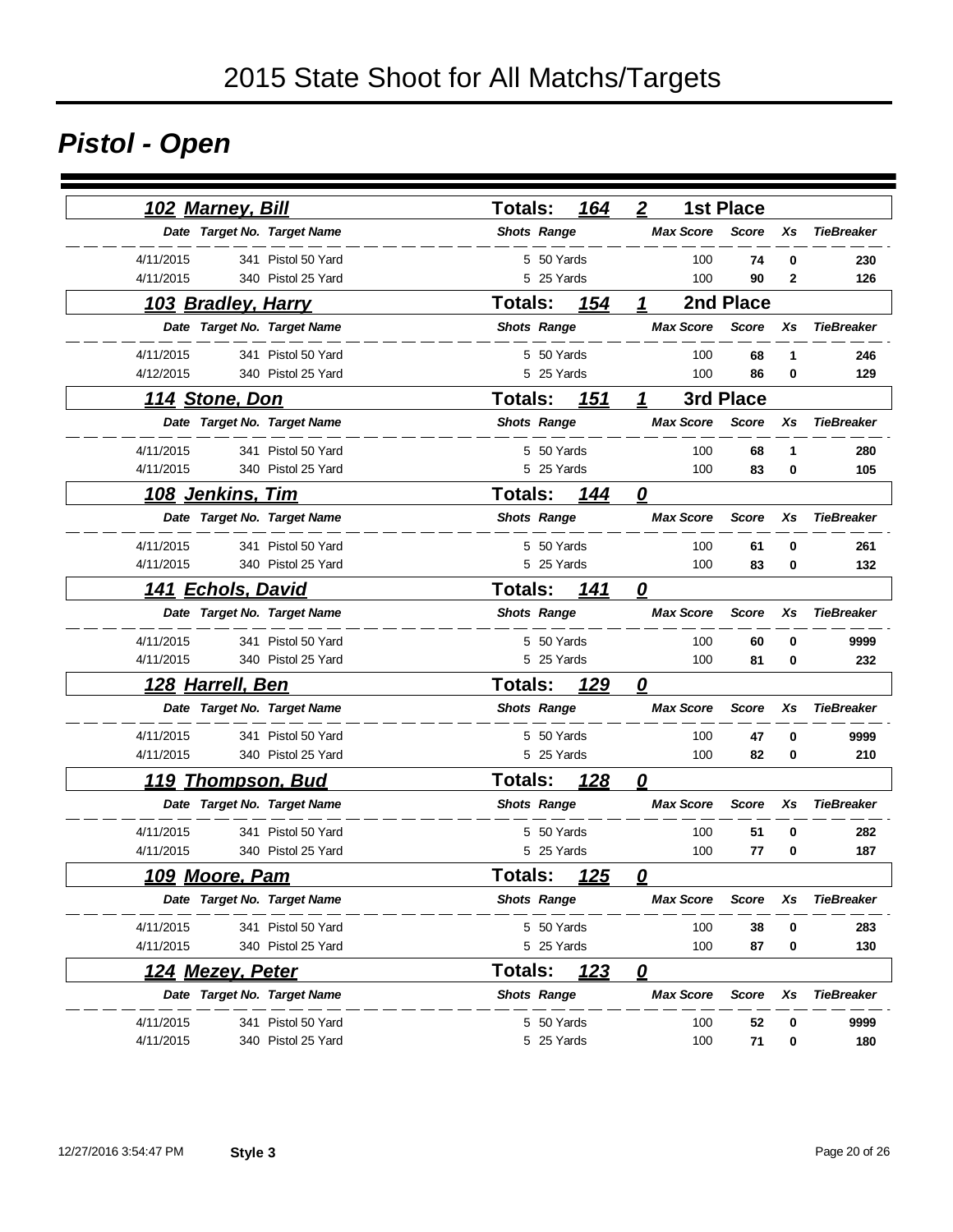# *Pistol - Open*

| 102 Marney, Bill                     | 164<br><b>Totals:</b>         | $\overline{2}$<br><b>1st Place</b>                          |
|--------------------------------------|-------------------------------|-------------------------------------------------------------|
| Date Target No. Target Name          | <b>Shots Range</b>            | <b>Max Score</b><br><b>TieBreaker</b><br><b>Score</b><br>Xs |
| 4/11/2015<br>341 Pistol 50 Yard      | 5 50 Yards                    | 100<br>74<br>0<br>230                                       |
| 4/11/2015<br>340 Pistol 25 Yard      | 5 25 Yards                    | 100<br>90<br>2<br>126                                       |
| <u> 103 Bradley, Harry</u>           | Totals:<br>154                | 2nd Place<br>1                                              |
| Date Target No. Target Name          | <b>Shots Range</b>            | <b>Max Score</b><br><b>Score</b><br>Xs<br><b>TieBreaker</b> |
| 4/11/2015<br>341 Pistol 50 Yard      | 5 50 Yards                    | 100<br>68<br>1<br>246                                       |
| 4/12/2015<br>340 Pistol 25 Yard      | 5 25 Yards                    | 100<br>86<br>0<br>129                                       |
| <u>114 Stone, Don</u>                | Totals:<br><u>151</u>         | 3rd Place<br>1                                              |
| Date Target No. Target Name          | <b>Shots Range</b>            | <b>Max Score</b><br><b>Score</b><br>Xs<br><b>TieBreaker</b> |
| 4/11/2015<br>341 Pistol 50 Yard      | 5 50 Yards                    | 100<br>68<br>1<br>280                                       |
| 4/11/2015<br>340 Pistol 25 Yard      | 5 25 Yards                    | 100<br>83<br>0<br>105                                       |
| <u>108 Jenkins, Tim</u>              | <b>Totals:</b><br>144         | $\overline{\mathbf{0}}$                                     |
| Date Target No. Target Name          | <b>Shots Range</b>            | <b>Max Score</b><br><b>Score</b><br>Xs<br><b>TieBreaker</b> |
| 4/11/2015<br>341 Pistol 50 Yard      | 5 50 Yards                    | 261<br>100<br>61<br>0                                       |
| 4/11/2015<br>340 Pistol 25 Yard      | 5 25 Yards                    | 100<br>83<br>132<br>0                                       |
| <u>Echols, David</u><br>141          | <b>Totals:</b><br>141         | $\overline{\mathbf{0}}$                                     |
| Date Target No. Target Name          | <b>Shots Range</b>            | <b>Max Score</b><br><b>Score</b><br>Xs<br><b>TieBreaker</b> |
| 4/11/2015<br>341 Pistol 50 Yard      | 5 50 Yards                    | 100<br>60<br>0<br>9999                                      |
| 4/11/2015<br>340 Pistol 25 Yard      | 5 25 Yards                    | 100<br>81<br>0<br>232                                       |
| <u>128 Harrell, Ben</u>              | <b>Totals:</b><br><u>129</u>  | $\overline{\mathbf{0}}$                                     |
| Date Target No. Target Name          | <b>Shots Range</b>            | <b>Max Score</b><br><b>Score</b><br>Xs<br><b>TieBreaker</b> |
| 4/11/2015<br>341 Pistol 50 Yard      | 5 50 Yards                    | 100<br>9999<br>47<br>0                                      |
| 4/11/2015<br>340 Pistol 25 Yard      | 5 25 Yards                    | 100<br>82<br>210<br>0                                       |
| <b>Thompson, Bud</b><br><u> 119 </u> | <b>Totals:</b><br><u>128</u>  | $\boldsymbol{\varrho}$                                      |
| Date Target No. Target Name          | <b>Shots Range</b>            | <b>Max Score</b><br><b>Score</b><br>Xs<br><b>TieBreaker</b> |
| 4/11/2015<br>341 Pistol 50 Yard      | 5 50 Yards                    | 100<br>51<br>0<br>282                                       |
| 4/11/2015<br>340 Pistol 25 Yard      | 5 25 Yards                    | 100<br>77<br>0<br>187                                       |
| <u> 109 Moore, Pam</u>               | <b>Totals:</b><br><u> 125</u> | n                                                           |
| Date Target No. Target Name          | <b>Shots Range</b>            | <b>Max Score</b><br><b>TieBreaker</b><br>Score<br>Xs        |
| 4/11/2015<br>341 Pistol 50 Yard      | 5 50 Yards                    | 100<br>38<br>283<br>0                                       |
| 4/11/2015<br>340 Pistol 25 Yard      | 5 25 Yards                    | 100<br>87<br>130<br>0                                       |
| <u>124 Mezey, Peter</u>              | <u>123</u><br>Totals:         | $\overline{\mathbf{0}}$                                     |
| Date Target No. Target Name          | <b>Shots Range</b>            | <b>Max Score</b><br><b>TieBreaker</b><br><b>Score</b><br>Xs |
| 4/11/2015<br>341 Pistol 50 Yard      | 5 50 Yards                    | 100<br>52<br>0<br>9999                                      |
| 4/11/2015<br>340 Pistol 25 Yard      | 5 25 Yards                    | 100<br>71<br>180<br>0                                       |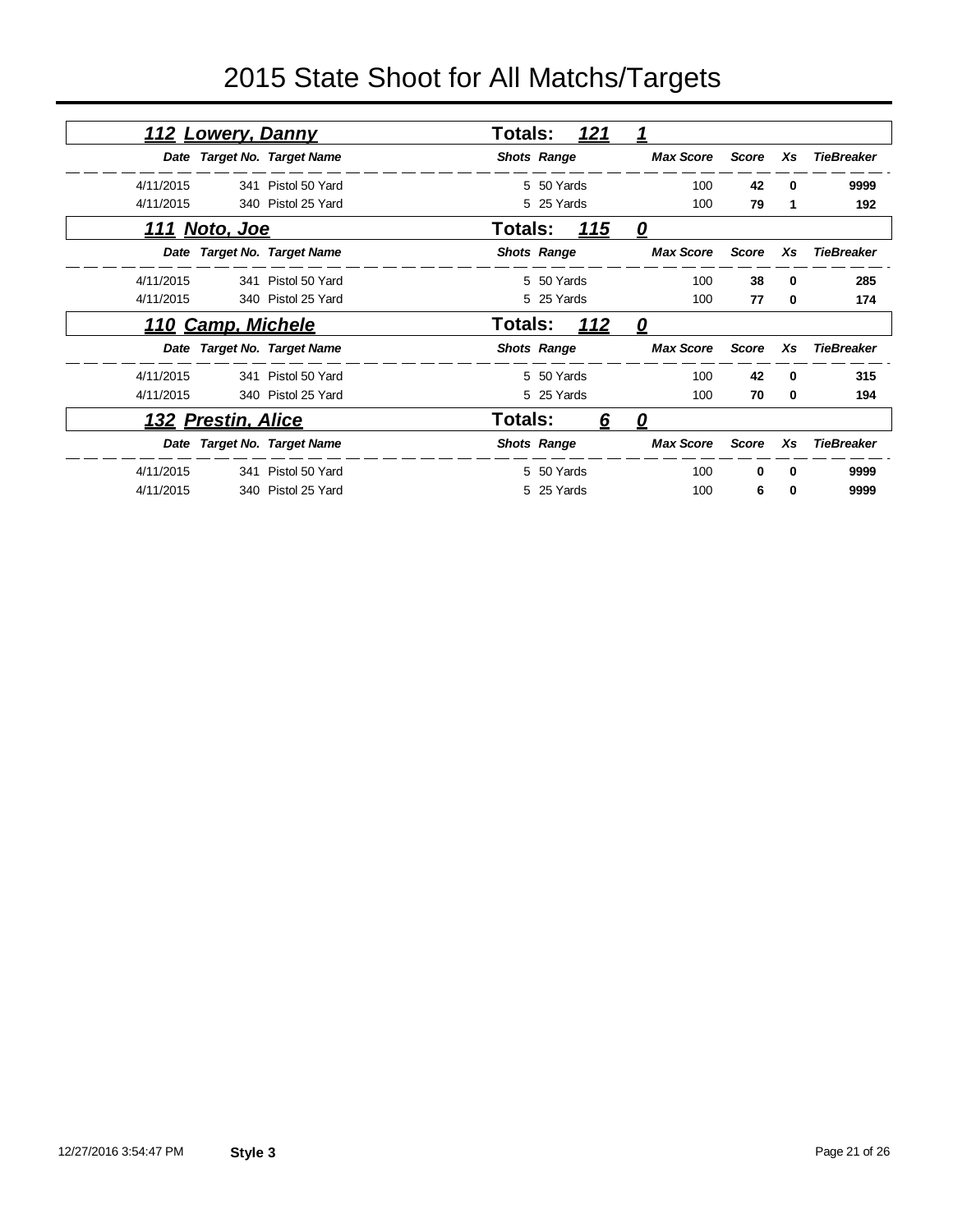| 112 Lowery, Danny    |                             | <b>Totals:</b><br><u>121</u>      | $\overline{\mathbf{1}}$ |              |              |                   |
|----------------------|-----------------------------|-----------------------------------|-------------------------|--------------|--------------|-------------------|
|                      | Date Target No. Target Name | <b>Shots Range</b>                | <b>Max Score</b>        | <b>Score</b> | Xs           | <b>TieBreaker</b> |
| 4/11/2015            | 341 Pistol 50 Yard          | 5 50 Yards                        | 100                     | 42           | $\Omega$     | 9999              |
| 4/11/2015            | 340 Pistol 25 Yard          | 5 25 Yards                        | 100                     | 79           | 1            | 192               |
| <u>111 Noto, Joe</u> |                             | Totals:<br><u> 115</u>            | 0                       |              |              |                   |
|                      | Date Target No. Target Name | <b>Shots Range</b>                | <b>Max Score</b>        | <b>Score</b> | Xs           | <b>TieBreaker</b> |
| 4/11/2015            | 341 Pistol 50 Yard          | 5 50 Yards                        | 100                     | 38           | 0            | 285               |
| 4/11/2015            | 340 Pistol 25 Yard          | 5 25 Yards                        | 100                     | 77           | $\bf{0}$     | 174               |
| 110 Camp, Michele    |                             | 112<br>Totals:                    | $\mathbf{\Omega}$       |              |              |                   |
|                      | Date Target No. Target Name | <b>Shots Range</b>                | <b>Max Score</b>        | <b>Score</b> | Xs           | <b>TieBreaker</b> |
| 4/11/2015            | 341 Pistol 50 Yard          | 5 50 Yards                        | 100                     | 42           | $\Omega$     | 315               |
| 4/11/2015            | 340 Pistol 25 Yard          | 5 25 Yards                        | 100                     | 70           | 0            | 194               |
| 132 Prestin, Alice   |                             | <b>Totals:</b><br>$6\overline{6}$ | <u>0</u>                |              |              |                   |
|                      | Date Target No. Target Name | <b>Shots Range</b>                | <b>Max Score</b>        | <b>Score</b> | Xs           | <b>TieBreaker</b> |
| 4/11/2015            | 341 Pistol 50 Yard          | 5 50 Yards                        | 100                     | $\Omega$     | $\mathbf{0}$ | 9999              |
| 4/11/2015            | 340 Pistol 25 Yard          | 5 25 Yards                        | 100                     | 6            | 0            | 9999              |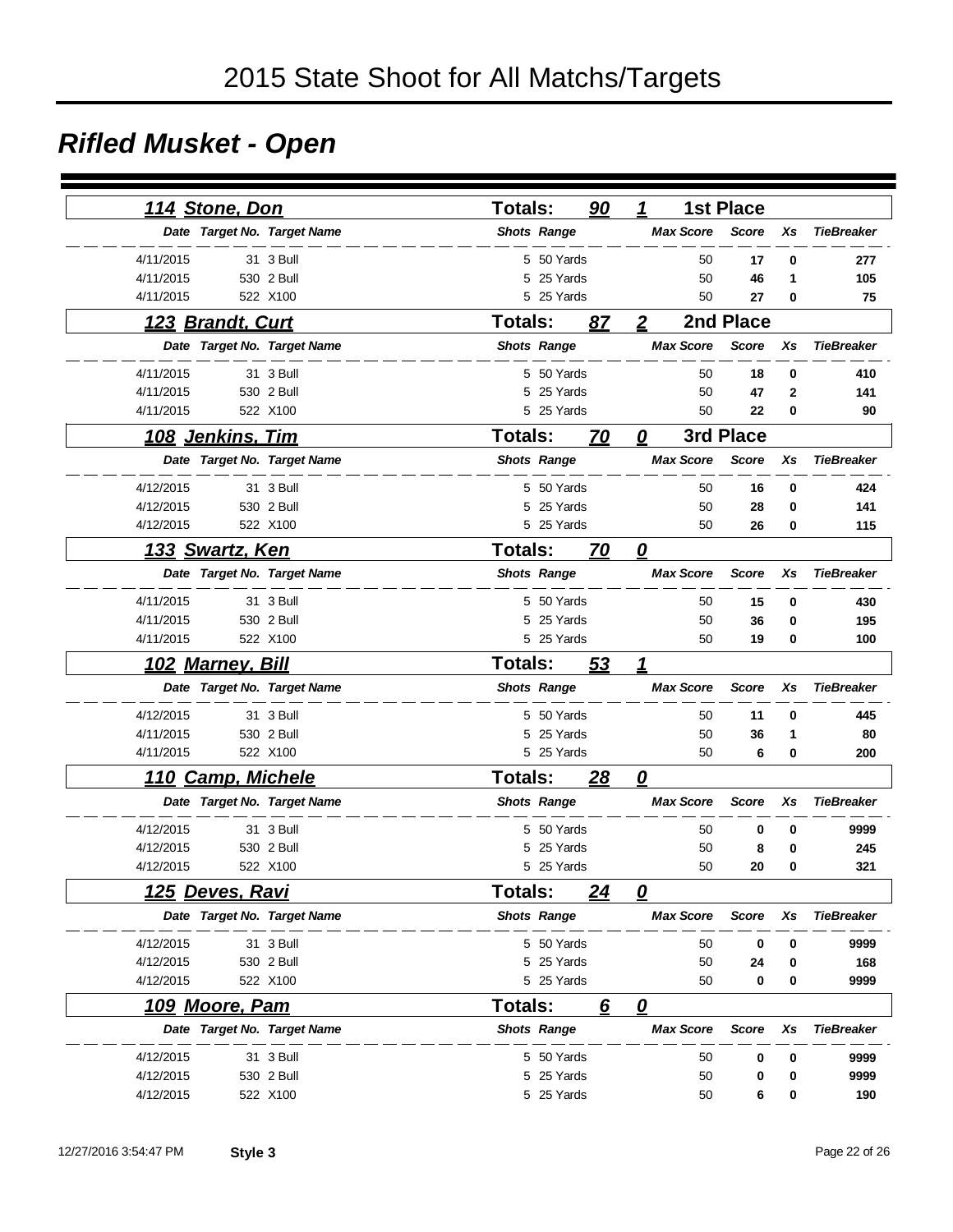### *Rifled Musket - Open*

| 114 Stone, Don              |            | <b>Totals:</b> |                    | 90 | $\mathbf{1}$            |    | <b>1st Place</b> |          |                   |
|-----------------------------|------------|----------------|--------------------|----|-------------------------|----|------------------|----------|-------------------|
| Date Target No. Target Name |            |                | <b>Shots Range</b> |    | <b>Max Score</b>        |    | <b>Score</b>     | Xs       | <b>TieBreaker</b> |
| 4/11/2015                   | 31 3 Bull  |                | 5 50 Yards         |    |                         | 50 | 17               | $\bf{0}$ | 277               |
| 4/11/2015                   | 530 2 Bull | 5              | 25 Yards           |    |                         | 50 |                  | 1        |                   |
| 4/11/2015                   | 522 X100   |                | 5 25 Yards         |    |                         | 50 | 46<br>27         | 0        | 105<br>75         |
|                             |            |                |                    |    |                         |    |                  |          |                   |
| 123 Brandt, Curt            |            | <b>Totals:</b> |                    | 87 | $\overline{2}$          |    | 2nd Place        |          |                   |
| Date Target No. Target Name |            |                | <b>Shots Range</b> |    | <b>Max Score</b>        |    | <b>Score</b>     | Xs       | <b>TieBreaker</b> |
| 4/11/2015                   | 31 3 Bull  |                | 5 50 Yards         |    |                         | 50 | 18               | 0        | 410               |
| 4/11/2015                   | 530 2 Bull | 5              | 25 Yards           |    |                         | 50 | 47               | 2        | 141               |
| 4/11/2015                   | 522 X100   |                | 5 25 Yards         |    |                         | 50 | 22               | 0        | 90                |
| <u>108 Jenkins, Tim</u>     |            | <b>Totals:</b> |                    | 70 | 0                       |    | 3rd Place        |          |                   |
| Date Target No. Target Name |            |                | <b>Shots Range</b> |    | <b>Max Score</b>        |    | <b>Score</b>     | Xs       | <b>TieBreaker</b> |
| 4/12/2015                   | 31 3 Bull  |                | 5 50 Yards         |    |                         | 50 | 16               | $\bf{0}$ | 424               |
| 4/12/2015                   | 530 2 Bull | 5              | 25 Yards           |    |                         | 50 | 28               | 0        | 141               |
| 4/12/2015                   | 522 X100   |                | 5 25 Yards         |    |                         | 50 | 26               | 0        | 115               |
| <u>133 Swartz, Ken</u>      |            | <b>Totals:</b> |                    | 70 | $\overline{\mathbf{0}}$ |    |                  |          |                   |
| Date Target No. Target Name |            |                | <b>Shots Range</b> |    | <b>Max Score</b>        |    | <b>Score</b>     | Xs       | <b>TieBreaker</b> |
| 4/11/2015                   | 31 3 Bull  |                | 5 50 Yards         |    |                         | 50 | 15               | 0        | 430               |
| 4/11/2015                   | 530 2 Bull | 5              | 25 Yards           |    |                         | 50 | 36               | 0        | 195               |
| 4/11/2015                   | 522 X100   |                | 5 25 Yards         |    |                         | 50 | 19               | 0        | 100               |
| <u>102 Marney, Bill</u>     |            | Totals:        |                    | 53 | 1                       |    |                  |          |                   |
| Date Target No. Target Name |            |                | <b>Shots Range</b> |    | <b>Max Score</b>        |    | <b>Score</b>     | Xs       | <b>TieBreaker</b> |
| 4/12/2015                   | 31 3 Bull  |                | 5 50 Yards         |    |                         | 50 | 11               | 0        | 445               |
| 4/11/2015                   | 530 2 Bull | 5              | 25 Yards           |    |                         | 50 | 36               | 1        | 80                |
| 4/11/2015                   | 522 X100   |                | 5 25 Yards         |    |                         | 50 | 6                | 0        | 200               |
| <b>Camp, Michele</b><br>110 |            | <b>Totals:</b> |                    | 28 | $\overline{\mathbf{0}}$ |    |                  |          |                   |
| Date Target No. Target Name |            |                | <b>Shots Range</b> |    | <b>Max Score</b>        |    | Score            | Xs       | <b>TieBreaker</b> |
| 4/12/2015                   | 31 3 Bull  |                | 5 50 Yards         |    |                         | 50 | 0                | 0        | 9999              |
| 4/12/2015                   | 530 2 Bull | 5              | 25 Yards           |    |                         | 50 | 8                | 0        | 245               |
| 4/12/2015                   | 522 X100   |                | 5 25 Yards         |    |                         | 50 | 20               | 0        | 321               |
| <u>125 Deves, Ravi</u>      |            | Totals:        |                    | 24 | 0                       |    |                  |          |                   |
| Date Target No. Target Name |            |                | <b>Shots Range</b> |    | <b>Max Score</b>        |    | Score            | Xs       | <b>TieBreaker</b> |
| 4/12/2015                   | 31 3 Bull  |                | 5 50 Yards         |    |                         | 50 | 0                | 0        | 9999              |
| 4/12/2015                   | 530 2 Bull |                | 5 25 Yards         |    |                         | 50 | 24               | 0        | 168               |
| 4/12/2015                   | 522 X100   |                | 5 25 Yards         |    |                         | 50 | 0                | 0        | 9999              |
| 109 Moore, Pam              |            | Totals:        |                    | 6  | $\overline{\mathbf{0}}$ |    |                  |          |                   |
| Date Target No. Target Name |            |                | <b>Shots Range</b> |    | <b>Max Score</b>        |    | <b>Score</b>     | Xs       | <b>TieBreaker</b> |
| 4/12/2015                   | 31 3 Bull  |                | 5 50 Yards         |    |                         | 50 | 0                | 0        | 9999              |
| 4/12/2015                   | 530 2 Bull | 5              | 25 Yards           |    |                         | 50 | 0                | 0        | 9999              |
| 4/12/2015                   | 522 X100   |                | 5 25 Yards         |    |                         | 50 | 6                | 0        | 190               |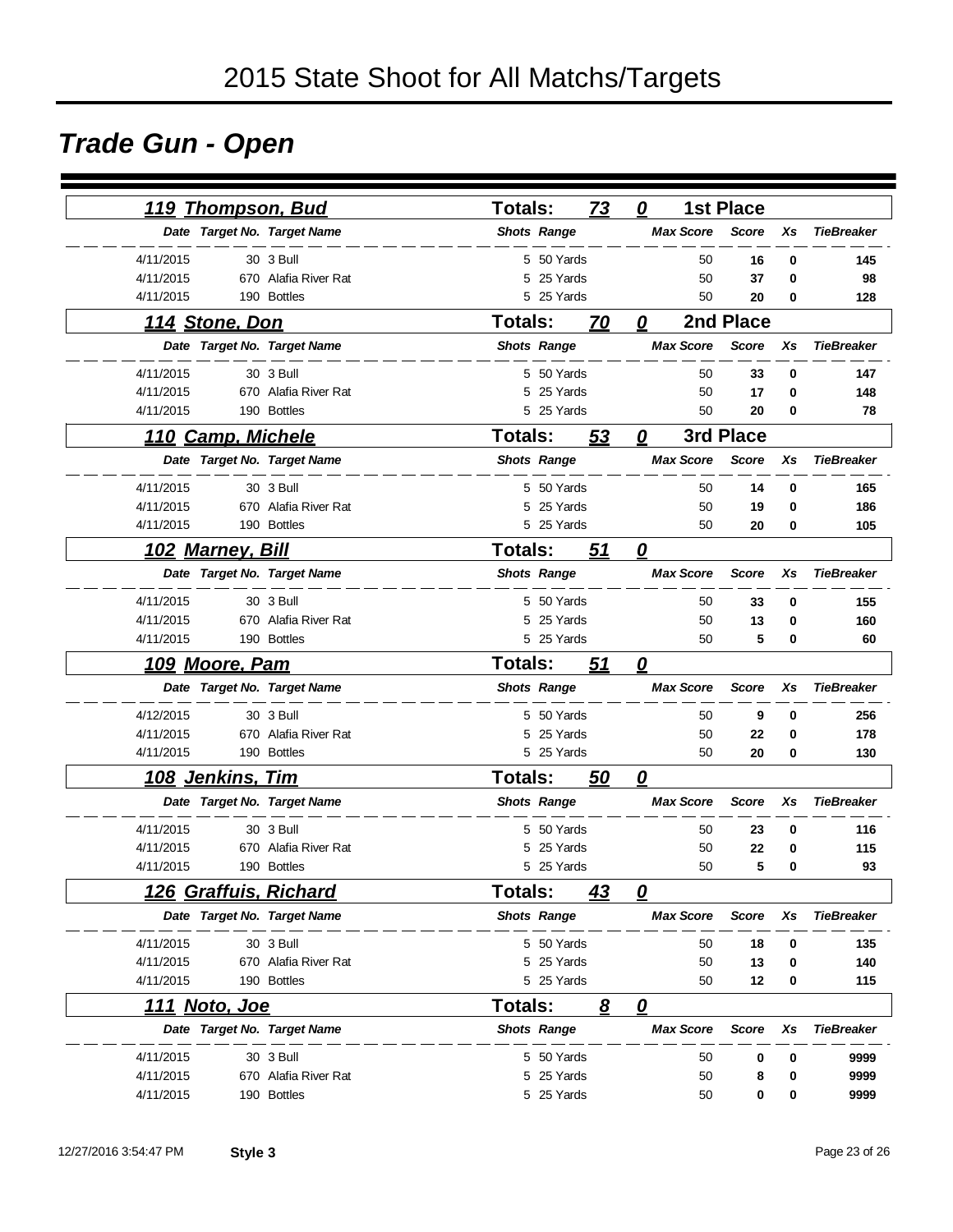### *Trade Gun - Open*

| <u>119 Thompson, Bud</u> |                             | Totals:            |            | 73        | 0                                 | <b>1st Place</b> |          |                   |
|--------------------------|-----------------------------|--------------------|------------|-----------|-----------------------------------|------------------|----------|-------------------|
|                          | Date Target No. Target Name | <b>Shots Range</b> |            |           | <b>Max Score</b>                  | <b>Score</b>     | Xs       | <b>TieBreaker</b> |
| 4/11/2015                | 30 3 Bull                   |                    | 5 50 Yards |           | 50                                | 16               | 0        | 145               |
| 4/11/2015                | 670 Alafia River Rat        |                    | 5 25 Yards |           | 50                                | 37               | 0        | 98                |
| 4/11/2015                | 190 Bottles                 |                    | 5 25 Yards |           | 50                                | 20               | 0        | 128               |
| 114 Stone, Don           |                             | <b>Totals:</b>     |            | 70        | 0                                 | 2nd Place        |          |                   |
|                          | Date Target No. Target Name | <b>Shots Range</b> |            |           | <b>Max Score</b>                  | <b>Score</b>     | Xs       | <b>TieBreaker</b> |
| 4/11/2015                | 30 3 Bull                   |                    | 5 50 Yards |           | 50                                | 33               | $\bf{0}$ | 147               |
| 4/11/2015                | 670 Alafia River Rat        | 5                  | 25 Yards   |           | 50                                | 17               | $\bf{0}$ | 148               |
| 4/11/2015                | 190 Bottles                 |                    | 5 25 Yards |           | 50                                | 20               | $\bf{0}$ | 78                |
| 110 Camp, Michele        |                             | <b>Totals:</b>     |            | <u>53</u> | 0                                 | 3rd Place        |          |                   |
|                          | Date Target No. Target Name | <b>Shots Range</b> |            |           | <b>Max Score</b>                  | <b>Score</b>     | Xs       | <b>TieBreaker</b> |
| 4/11/2015                | 30 3 Bull                   |                    | 5 50 Yards |           | 50                                | 14               | 0        | 165               |
| 4/11/2015                | 670 Alafia River Rat        | 5                  | 25 Yards   |           | 50                                | 19               | 0        | 186               |
| 4/11/2015                | 190 Bottles                 |                    | 5 25 Yards |           | 50                                | 20               | $\bf{0}$ | 105               |
| <u>102 Marney, Bill</u>  |                             | <b>Totals:</b>     |            | 51        | $\overline{\mathbf{0}}$           |                  |          |                   |
|                          | Date Target No. Target Name | <b>Shots Range</b> |            |           | <b>Max Score</b>                  | <b>Score</b>     | Xs       | <b>TieBreaker</b> |
| 4/11/2015                | 30 3 Bull                   |                    | 5 50 Yards |           | 50                                | 33               | 0        | 155               |
| 4/11/2015                | 670 Alafia River Rat        |                    | 5 25 Yards |           | 50                                | 13               | 0        | 160               |
| 4/11/2015                | 190 Bottles                 |                    | 5 25 Yards |           | 50                                | 5                | 0        | 60                |
| <u>109 Moore, Pam</u>    |                             | <b>Totals:</b>     |            | 51        | $\overline{\boldsymbol{\varrho}}$ |                  |          |                   |
|                          | Date Target No. Target Name | <b>Shots Range</b> |            |           | <b>Max Score</b>                  | <b>Score</b>     | Xs       | <b>TieBreaker</b> |
| 4/12/2015                | 30 3 Bull                   |                    | 5 50 Yards |           | 50                                | 9                | 0        | 256               |
| 4/11/2015                | 670 Alafia River Rat        |                    | 5 25 Yards |           | 50                                | 22               | 0        | 178               |
| 4/11/2015                | 190 Bottles                 |                    | 5 25 Yards |           | 50                                | 20               | 0        | 130               |
| 108 Jenkins, Tim         |                             | <b>Totals:</b>     |            | 50        | 0                                 |                  |          |                   |
|                          | Date Target No. Target Name | <b>Shots Range</b> |            |           | <b>Max Score</b>                  | <b>Score</b>     | Xs       | <b>TieBreaker</b> |
| 4/11/2015                | 30 3 Bull                   |                    | 5 50 Yards |           | 50                                | 23               | 0        | 116               |
| 4/11/2015                | 670 Alafia River Rat        | 5                  | 25 Yards   |           | 50                                | 22               | 0        | 115               |
| 4/11/2015                | 190 Bottles                 |                    | 5 25 Yards |           | 50                                | 5                | 0        | 93                |
| 126 Graffuis, Richard    |                             | Totals:            |            | 43        | 0                                 |                  |          |                   |
|                          | Date Target No. Target Name | <b>Shots Range</b> |            |           | <b>Max Score</b>                  | <b>Score</b>     | Xs       | <b>TieBreaker</b> |
| 4/11/2015                | 30 3 Bull                   |                    | 5 50 Yards |           | 50                                | 18               | 0        | 135               |
| 4/11/2015                | 670 Alafia River Rat        |                    | 5 25 Yards |           | 50                                | 13               | 0        | 140               |
| 4/11/2015                | 190 Bottles                 |                    | 5 25 Yards |           | 50                                | 12               | 0        | 115               |
| <u>111 Noto, Joe</u>     |                             | <b>Totals:</b>     |            | 8         | $\overline{\mathbf{0}}$           |                  |          |                   |
|                          | Date Target No. Target Name | <b>Shots Range</b> |            |           | <b>Max Score</b>                  | <b>Score</b>     | Xs       | <b>TieBreaker</b> |
| 4/11/2015                | 30 3 Bull                   |                    | 5 50 Yards |           | 50                                | 0                | 0        | 9999              |
| 4/11/2015                | 670 Alafia River Rat        |                    | 5 25 Yards |           | 50                                | 8                | 0        | 9999              |
| 4/11/2015                | 190 Bottles                 |                    | 5 25 Yards |           | 50                                | 0                | 0        | 9999              |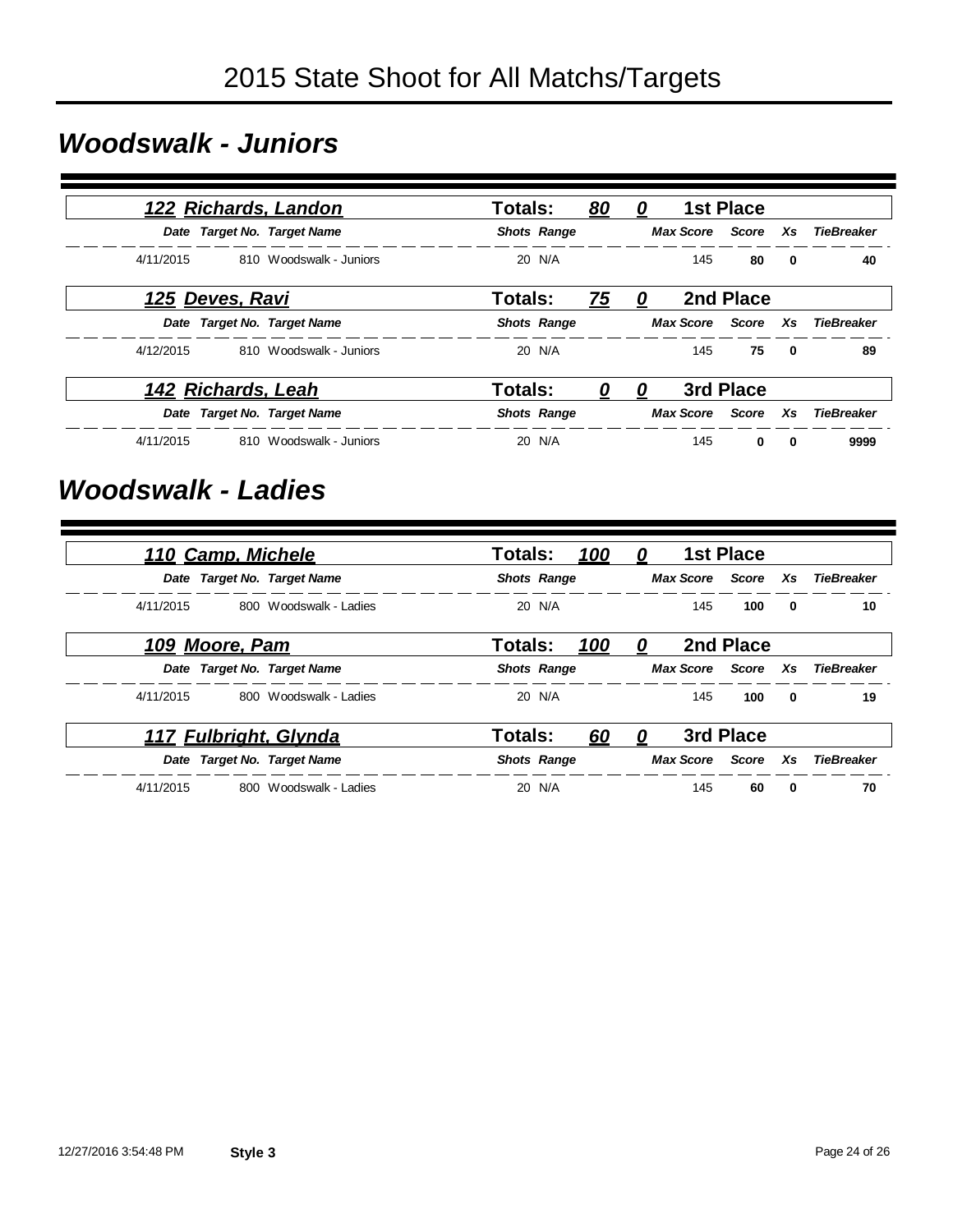### *Woodswalk - Juniors*

|                 | 122 Richards, Landon        | Totals:<br>80      | 0        |     | <b>1st Place</b>   |                         |                               |
|-----------------|-----------------------------|--------------------|----------|-----|--------------------|-------------------------|-------------------------------|
|                 | Date Target No. Target Name | <b>Shots Range</b> |          |     |                    |                         | Max Score Score Xs TieBreaker |
| 4/11/2015       | 810 Woodswalk - Juniors     | 20 N/A             |          | 145 | 80                 | 0                       | 40                            |
| 125 Deves, Ravi |                             | Totals:<br>75      | 0        |     | 2nd Place          |                         |                               |
|                 | Date Target No. Target Name | <b>Shots Range</b> |          |     |                    |                         | Max Score Score Xs TieBreaker |
| 4/12/2015       | 810 Woodswalk - Juniors     | 20 N/A             |          | 145 | 75                 | $\overline{\mathbf{0}}$ | 89                            |
|                 | 142 Richards, Leah          | Totals:<br>0       | <u>0</u> |     | 3rd Place          |                         |                               |
|                 | Date Target No. Target Name | <b>Shots Range</b> |          |     | Max Score Score Xs |                         | <b>TieBreaker</b>             |
| 4/11/2015       | 810 Woodswalk - Juniors     | 20 N/A             |          | 145 | $\bf{0}$           | $\mathbf 0$             | 9999                          |

#### *Woodswalk - Ladies*

|                | 110 Camp, Michele           | <b>Totals:</b><br>100 | 0   | <b>1st Place</b> |                               |
|----------------|-----------------------------|-----------------------|-----|------------------|-------------------------------|
|                | Date Target No. Target Name | <b>Shots Range</b>    |     |                  | Max Score Score Xs TieBreaker |
| 4/11/2015      | 800 Woodswalk - Ladies      | 20 N/A                | 145 | 100              | 10<br>$\mathbf{0}$            |
| 109 Moore, Pam |                             | Totals:<br>100        | 0   | 2nd Place        |                               |
|                | Date Target No. Target Name | <b>Shots Range</b>    |     |                  | Max Score Score Xs TieBreaker |
| 4/11/2015      | 800 Woodswalk - Ladies      | 20 N/A                | 145 | 100              | 19<br>0                       |
|                | 117 Fulbright, Glynda       | Totals:<br>60         | 0   | 3rd Place        |                               |
|                | Date Target No. Target Name | <b>Shots Range</b>    |     |                  | Max Score Score Xs TieBreaker |
| 4/11/2015      | 800 Woodswalk - Ladies      | 20 N/A                | 145 | 60               | 70<br>0                       |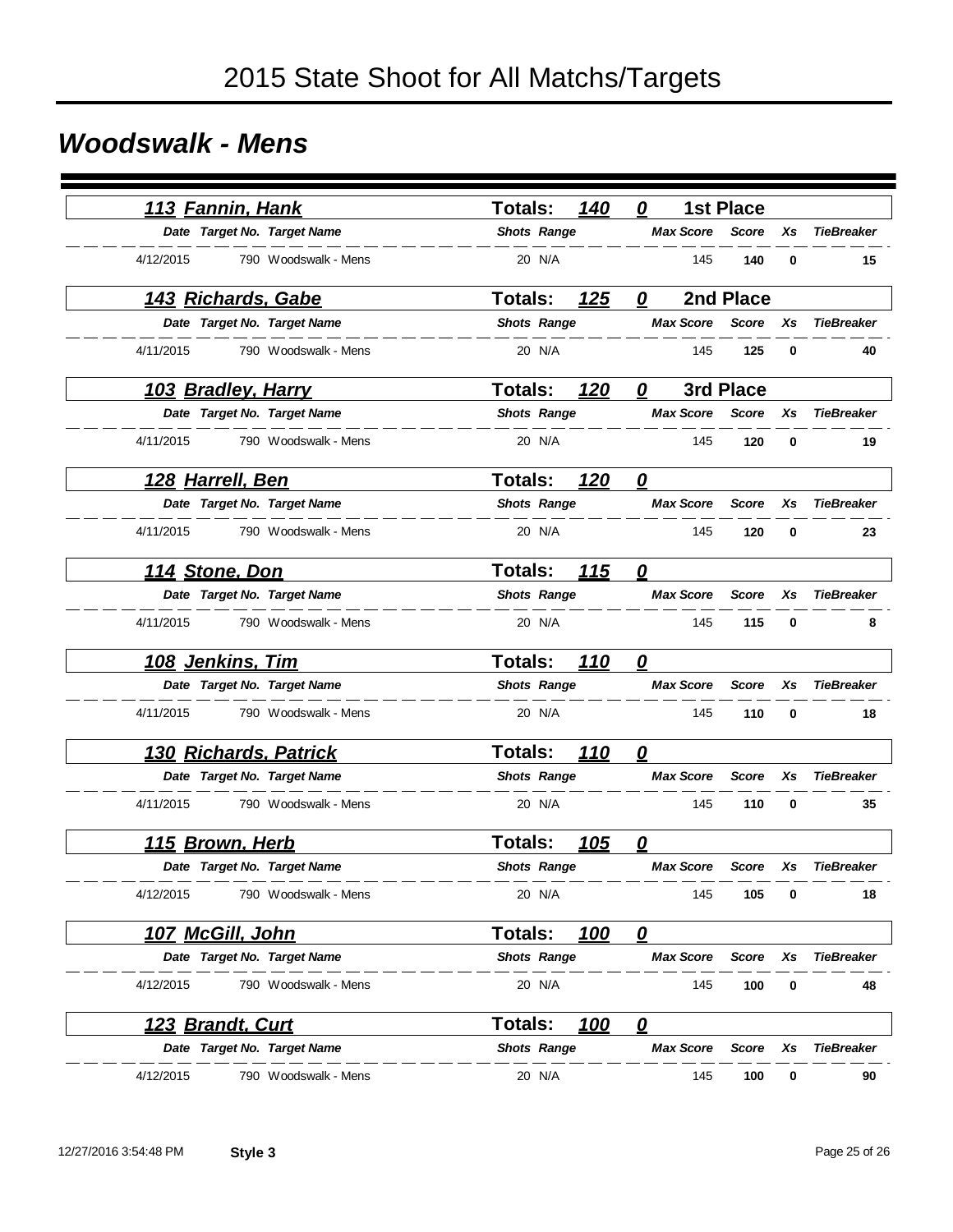### *Woodswalk - Mens*

|           | 113 Fannin, Hank          |                              | <b>Totals:</b>     |        | 140         | 0                      |                  | <b>1st Place</b> |          |                   |
|-----------|---------------------------|------------------------------|--------------------|--------|-------------|------------------------|------------------|------------------|----------|-------------------|
|           |                           | Date Target No. Target Name  | <b>Shots Range</b> |        |             |                        | <b>Max Score</b> | <b>Score</b>     | Xs       | <b>TieBreaker</b> |
| 4/12/2015 |                           | 790 Woodswalk - Mens         |                    | 20 N/A |             |                        | 145              | 140              | $\bf{0}$ | 15                |
|           | <u>143 Richards, Gabe</u> |                              | Totals:            |        | 125         | 0                      |                  | 2nd Place        |          |                   |
|           |                           | Date Target No. Target Name  | <b>Shots Range</b> |        |             |                        | <b>Max Score</b> | <b>Score</b>     | Xs       | <b>TieBreaker</b> |
| 4/11/2015 |                           | 790 Woodswalk - Mens         |                    | 20 N/A |             |                        | 145              | 125              | 0        | 40                |
|           | <u>103 Bradley, Harry</u> |                              | <b>Totals:</b>     |        | 120         | 0                      |                  | 3rd Place        |          |                   |
|           |                           | Date Target No. Target Name  | <b>Shots Range</b> |        |             |                        | <b>Max Score</b> | <b>Score</b>     | Xs       | <b>TieBreaker</b> |
| 4/11/2015 |                           | 790 Woodswalk - Mens         |                    | 20 N/A |             |                        | 145              | 120              | 0        | 19                |
|           | <u>128 Harrell, Ben</u>   |                              | <b>Totals:</b>     |        | 120         | $\boldsymbol{\varrho}$ |                  |                  |          |                   |
|           |                           | Date Target No. Target Name  | <b>Shots Range</b> |        |             |                        | <b>Max Score</b> | <b>Score</b>     | Xs       | <b>TieBreaker</b> |
| 4/11/2015 |                           | 790 Woodswalk - Mens         |                    | 20 N/A |             |                        | 145              | 120              | 0        | 23                |
|           | 114 Stone, Don            |                              | <b>Totals:</b>     |        | 115         | 0                      |                  |                  |          |                   |
|           |                           | Date Target No. Target Name  | <b>Shots Range</b> |        |             |                        | <b>Max Score</b> | <b>Score</b>     | Xs       | <b>TieBreaker</b> |
| 4/11/2015 |                           | 790 Woodswalk - Mens         |                    | 20 N/A |             |                        | 145              | 115              | 0        | 8                 |
|           | 108 Jenkins, Tim          |                              | <b>Totals:</b>     |        | 110         | 0                      |                  |                  |          |                   |
|           |                           | Date Target No. Target Name  | <b>Shots Range</b> |        |             |                        | <b>Max Score</b> | <b>Score</b>     | Xs       | <b>TieBreaker</b> |
| 4/11/2015 |                           | 790 Woodswalk - Mens         |                    | 20 N/A |             |                        | 145              | 110              | 0        | 18                |
|           |                           | <b>130 Richards, Patrick</b> | Totals:            |        | 110         | $\boldsymbol{\varrho}$ |                  |                  |          |                   |
|           |                           | Date Target No. Target Name  | <b>Shots Range</b> |        |             |                        | <b>Max Score</b> | <b>Score</b>     | Xs       | <b>TieBreaker</b> |
| 4/11/2015 |                           | 790 Woodswalk - Mens         |                    | 20 N/A |             |                        | 145              | 110              | 0        | 35                |
|           | <u>115 Brown, Herb</u>    |                              | <b>Totals:</b>     |        | <u> 105</u> | $\boldsymbol{0}$       |                  |                  |          |                   |
|           |                           | Date Target No. Target Name  | <b>Shots Range</b> |        |             |                        | <b>Max Score</b> | <b>Score</b>     | Xs       | <b>TieBreaker</b> |
| 4/12/2015 |                           | 790 Woodswalk - Mens         |                    | 20 N/A |             |                        | 145              | 105              | 0        | 18                |
|           | 107 McGill, John          |                              | <b>Totals:</b>     |        | <u> 100</u> | $\mathbf{\Omega}$      |                  |                  |          |                   |
|           |                           | Date Target No. Target Name  | <b>Shots Range</b> |        |             |                        | <b>Max Score</b> | <b>Score</b>     | Xs       | TieBreaker        |
| 4/12/2015 |                           | 790 Woodswalk - Mens         |                    | 20 N/A |             |                        | 145              | 100              | 0        | 48                |
|           | <u>123 Brandt, Curt</u>   |                              | Totals:            |        | <u> 100</u> | $\mathbf{\Omega}$      |                  |                  |          |                   |
|           |                           | Date Target No. Target Name  | <b>Shots Range</b> |        |             |                        | <b>Max Score</b> | <b>Score</b>     | Xs       | <b>TieBreaker</b> |
| 4/12/2015 |                           | 790 Woodswalk - Mens         |                    | 20 N/A |             |                        | 145              | 100              | 0        | 90                |